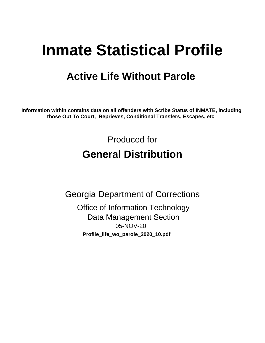# **Inmate Statistical Profile**

## **Active Life Without Parole**

Information within contains data on all offenders with Scribe Status of INMATE, including those Out To Court, Reprieves, Conditional Transfers, Escapes, etc

> Produced for **General Distribution**

**Georgia Department of Corrections Office of Information Technology Data Management Section** 05-NOV-20 Profile\_life\_wo\_parole\_2020\_10.pdf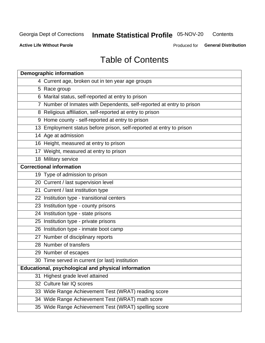## **Inmate Statistical Profile 05-NOV-20**

Contents

**Active Life Without Parole** 

Produced for General Distribution

## **Table of Contents**

| <b>Demographic information</b>                                        |  |  |  |  |  |
|-----------------------------------------------------------------------|--|--|--|--|--|
| 4 Current age, broken out in ten year age groups                      |  |  |  |  |  |
| 5 Race group                                                          |  |  |  |  |  |
| 6 Marital status, self-reported at entry to prison                    |  |  |  |  |  |
| 7 Number of Inmates with Dependents, self-reported at entry to prison |  |  |  |  |  |
| 8 Religious affiliation, self-reported at entry to prison             |  |  |  |  |  |
| 9 Home county - self-reported at entry to prison                      |  |  |  |  |  |
| 13 Employment status before prison, self-reported at entry to prison  |  |  |  |  |  |
| 14 Age at admission                                                   |  |  |  |  |  |
| 16 Height, measured at entry to prison                                |  |  |  |  |  |
| 17 Weight, measured at entry to prison                                |  |  |  |  |  |
| 18 Military service                                                   |  |  |  |  |  |
| <b>Correctional information</b>                                       |  |  |  |  |  |
| 19 Type of admission to prison                                        |  |  |  |  |  |
| 20 Current / last supervision level                                   |  |  |  |  |  |
| 21 Current / last institution type                                    |  |  |  |  |  |
| 22 Institution type - transitional centers                            |  |  |  |  |  |
| 23 Institution type - county prisons                                  |  |  |  |  |  |
| 24 Institution type - state prisons                                   |  |  |  |  |  |
| 25 Institution type - private prisons                                 |  |  |  |  |  |
| 26 Institution type - inmate boot camp                                |  |  |  |  |  |
| 27 Number of disciplinary reports                                     |  |  |  |  |  |
| 28 Number of transfers                                                |  |  |  |  |  |
| 29 Number of escapes                                                  |  |  |  |  |  |
| 30 Time served in current (or last) institution                       |  |  |  |  |  |
| Educational, psychological and physical information                   |  |  |  |  |  |
| 31 Highest grade level attained                                       |  |  |  |  |  |
| 32 Culture fair IQ scores                                             |  |  |  |  |  |
| 33 Wide Range Achievement Test (WRAT) reading score                   |  |  |  |  |  |
| 34 Wide Range Achievement Test (WRAT) math score                      |  |  |  |  |  |
| 35 Wide Range Achievement Test (WRAT) spelling score                  |  |  |  |  |  |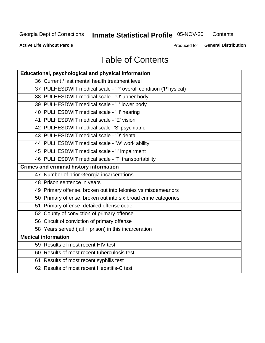## **Inmate Statistical Profile 05-NOV-20**

Contents

**Active Life Without Parole** 

Produced for General Distribution

## **Table of Contents**

| Educational, psychological and physical information              |
|------------------------------------------------------------------|
| 36 Current / last mental health treatment level                  |
| 37 PULHESDWIT medical scale - 'P' overall condition ('P'hysical) |
| 38 PULHESDWIT medical scale - 'U' upper body                     |
| 39 PULHESDWIT medical scale - 'L' lower body                     |
| 40 PULHESDWIT medical scale - 'H' hearing                        |
| 41 PULHESDWIT medical scale - 'E' vision                         |
| 42 PULHESDWIT medical scale -'S' psychiatric                     |
| 43 PULHESDWIT medical scale - 'D' dental                         |
| 44 PULHESDWIT medical scale - 'W' work ability                   |
| 45 PULHESDWIT medical scale - 'I' impairment                     |
| 46 PULHESDWIT medical scale - 'T' transportability               |
| <b>Crimes and criminal history information</b>                   |
| 47 Number of prior Georgia incarcerations                        |
| 48 Prison sentence in years                                      |
| 49 Primary offense, broken out into felonies vs misdemeanors     |
| 50 Primary offense, broken out into six broad crime categories   |
| 51 Primary offense, detailed offense code                        |
| 52 County of conviction of primary offense                       |
| 56 Circuit of conviction of primary offense                      |
| 58 Years served (jail + prison) in this incarceration            |
| <b>Medical information</b>                                       |
| 59 Results of most recent HIV test                               |
| 60 Results of most recent tuberculosis test                      |
| 61 Results of most recent syphilis test                          |
| 62 Results of most recent Hepatitis-C test                       |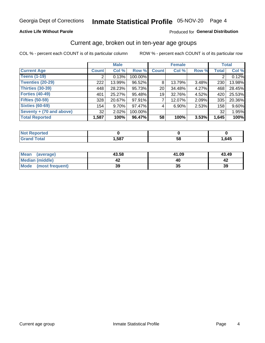### **Active Life Without Parole**

### Produced for General Distribution

## Current age, broken out in ten-year age groups

COL % - percent each COUNT is of its particular column

|                          | <b>Male</b>  |          |         | <b>Female</b>   |          |          | <b>Total</b> |        |
|--------------------------|--------------|----------|---------|-----------------|----------|----------|--------------|--------|
| <b>Current Age</b>       | <b>Count</b> | Col %    | Row %   | <b>Count</b>    | Col %    | Row %    | <b>Total</b> | Col %  |
| <b>Teens (1-19)</b>      |              | 0.13%    | 100.00% |                 |          |          |              | 0.12%  |
| <b>Twenties (20-29)</b>  | 222          | 13.99%   | 96.52%  | 8               | 13.79%   | 3.48%    | 230          | 13.98% |
| Thirties (30-39)         | 448          | 28.23%   | 95.73%  | 20 <sub>1</sub> | 34.48%   | 4.27%    | 468          | 28.45% |
| <b>Forties (40-49)</b>   | 401          | 25.27%   | 95.48%  | 19 <sup>1</sup> | 32.76%   | 4.52%    | 420          | 25.53% |
| <b>Fifties (50-59)</b>   | 328          | 20.67%   | 97.91%  |                 | 12.07%   | $2.09\%$ | 335          | 20.36% |
| <b>Sixties (60-69)</b>   | 154          | $9.70\%$ | 97.47%  | 4               | $6.90\%$ | 2.53%    | 158          | 9.60%  |
| Seventy + (70 and above) | 32           | $2.02\%$ | 100.00% |                 |          |          | 32           | 1.95%  |
| <b>Total Reported</b>    | 1,587        | 100%     | 96.47%  | 58              | 100%     | 3.53%    | 1,645        | 100%   |

| <b>Not Reported</b> |      |    |      |
|---------------------|------|----|------|
| <b>Total</b>        | ,587 | 58 | ,645 |

| Mean<br>(average)    | 43.58 | 41.09 | 43.49 |
|----------------------|-------|-------|-------|
| Median (middle)      |       |       |       |
| Mode (most frequent) | 39    | JJ    | 39    |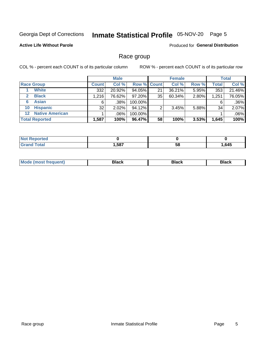#### Inmate Statistical Profile 05-NOV-20 Page 5

## **Active Life Without Parole**

**Produced for General Distribution** 

## Race group

COL % - percent each COUNT is of its particular column

|                       |                        |              | <b>Male</b> |         |                    | <b>Female</b> |       |              | <b>Total</b> |  |
|-----------------------|------------------------|--------------|-------------|---------|--------------------|---------------|-------|--------------|--------------|--|
| <b>Race Group</b>     |                        | <b>Count</b> | Col %       |         | <b>Row % Count</b> | Col %         | Row % | <b>Total</b> | Col %        |  |
|                       | <b>White</b>           | 332          | 20.92%      | 94.05%  | 21                 | 36.21%        | 5.95% | 353          | 21.46%       |  |
| $\mathbf{2}$          | <b>Black</b>           | 1,216        | 76.62%      | 97.20%  | 35                 | 60.34%        | 2.80% | 1,251        | 76.05%       |  |
| 6                     | <b>Asian</b>           | 6            | .38%        | 100.00% |                    |               |       | 6            | .36%         |  |
| 10                    | <b>Hispanic</b>        | 32           | 2.02%       | 94.12%  | ◠                  | 3.45%         | 5.88% | 34           | 2.07%        |  |
| $12 \,$               | <b>Native American</b> |              | .06%        | 100.00% |                    |               |       |              | .06%         |  |
| <b>Total Reported</b> |                        | 1,587        | 100%        | 96.47%  | 58                 | 100%          | 3.53% | 1,645        | 100%         |  |

| тео |      |    |      |
|-----|------|----|------|
|     | .587 | 58 | .645 |

| M | - - - |  |
|---|-------|--|
|   |       |  |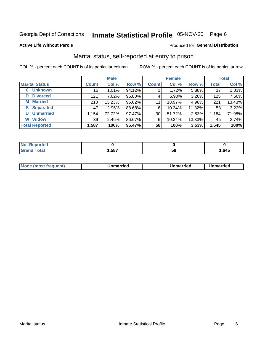## Inmate Statistical Profile 05-NOV-20 Page 6

### **Active Life Without Parole**

### Produced for General Distribution

## Marital status, self-reported at entry to prison

COL % - percent each COUNT is of its particular column

|                            | <b>Male</b>  |          |        | <b>Female</b> |          |        | <b>Total</b> |        |
|----------------------------|--------------|----------|--------|---------------|----------|--------|--------------|--------|
| <b>Marital Status</b>      | <b>Count</b> | Col %    | Row %  | <b>Count</b>  | Col %    | Row %  | <b>Total</b> | Col %  |
| <b>Unknown</b><br>$\bf{0}$ | 16           | 1.01%    | 94.12% |               | 1.72%    | 5.88%  | 17           | 1.03%  |
| <b>Divorced</b><br>D       | 121          | 7.62%    | 96.80% | 4             | $6.90\%$ | 3.20%  | 125          | 7.60%  |
| <b>Married</b><br>М        | 210          | 13.23%   | 95.02% | 11            | 18.97%   | 4.98%  | 221          | 13.43% |
| <b>S</b> Separated         | 47           | 2.96%    | 88.68% | 6             | 10.34%   | 11.32% | 53           | 3.22%  |
| <b>Unmarried</b><br>U      | 1,154        | 72.72%   | 97.47% | 30            | 51.72%   | 2.53%  | 1,184        | 71.98% |
| <b>Widow</b><br>W          | 39           | $2.46\%$ | 86.67% | 6             | 10.34%   | 13.33% | 45           | 2.74%  |
| <b>Total Reported</b>      | 1,587        | 100%     | 96.47% | 58            | 100%     | 3.53%  | 1,645        | 100%   |

| "teu<br>NOT |      |    |      |
|-------------|------|----|------|
|             | ,587 | ວດ | .645 |

|  | M | . | Unmarried | າmarried<br>______ |
|--|---|---|-----------|--------------------|
|--|---|---|-----------|--------------------|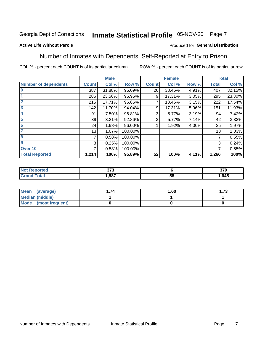#### Inmate Statistical Profile 05-NOV-20 Page 7

## **Active Life Without Parole**

### Produced for General Distribution

## Number of Inmates with Dependents, Self-Reported at Entry to Prison

COL % - percent each COUNT is of its particular column

|                             |              | <b>Male</b> |         |              | <b>Female</b> |       |              | <b>Total</b> |
|-----------------------------|--------------|-------------|---------|--------------|---------------|-------|--------------|--------------|
| <b>Number of dependents</b> | <b>Count</b> | Col %       | Row %   | <b>Count</b> | Col %         | Row % | <b>Total</b> | Col %        |
| $\bf{0}$                    | 387          | 31.88%      | 95.09%  | 20           | 38.46%        | 4.91% | 407          | 32.15%       |
|                             | 286          | 23.56%      | 96.95%  | 9            | 17.31%        | 3.05% | 295          | 23.30%       |
| $\overline{2}$              | 215          | 17.71%      | 96.85%  |              | 13.46%        | 3.15% | 222          | 17.54%       |
| 3                           | 142          | 11.70%      | 94.04%  | 9            | 17.31%        | 5.96% | 151          | 11.93%       |
| 4                           | 91           | 7.50%       | 96.81%  | 3            | 5.77%         | 3.19% | 94           | 7.42%        |
| 5                           | 39           | 3.21%       | 92.86%  | 3            | 5.77%         | 7.14% | 42           | 3.32%        |
| $6\phantom{1}6$             | 24           | 1.98%       | 96.00%  |              | 1.92%         | 4.00% | 25           | 1.97%        |
| 7                           | 13           | 1.07%       | 100.00% |              |               |       | 13           | 1.03%        |
| 8                           | 7            | 0.58%       | 100.00% |              |               |       | 7            | 0.55%        |
| 9                           | 3            | 0.25%       | 100.00% |              |               |       | 3            | 0.24%        |
| Over 10                     | 7            | 0.58%       | 100.00% |              |               |       | 7            | 0.55%        |
| <b>Total Reported</b>       | 1,214        | 100%        | 95.89%  | 52           | 100%          | 4.11% | 1,266        | 100%         |

| ^7^<br>J I J<br>$ -$ |          | 270<br>১। খ |
|----------------------|----------|-------------|
| .587                 | . .<br>◡ | ,645        |

| Mean<br>(average)    | 1.60 | l.73 |
|----------------------|------|------|
| Median (middle)      |      |      |
| Mode (most frequent) |      |      |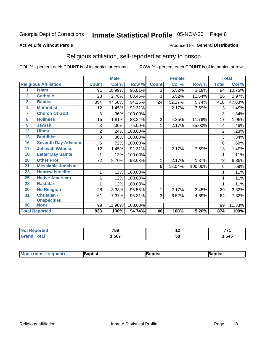## Inmate Statistical Profile 05-NOV-20 Page 8

### **Active Life Without Parole**

### Produced for General Distribution

## Religious affiliation, self-reported at entry to prison

COL % - percent each COUNT is of its particular column

|                 |                              |                | <b>Male</b> |         |                | <b>Female</b>             |         |                | <b>Total</b> |
|-----------------|------------------------------|----------------|-------------|---------|----------------|---------------------------|---------|----------------|--------------|
|                 | <b>Religious Affiliation</b> | <b>Count</b>   | Col %       | Row %   | <b>Count</b>   | $\overline{\text{Col}}$ % | Row %   | <b>Total</b>   | Col %        |
| 1               | <b>Islam</b>                 | 91             | 10.99%      | 96.81%  | 3              | 6.52%                     | 3.19%   | 94             | 10.76%       |
| $\overline{2}$  | <b>Catholic</b>              | 23             | 2.78%       | 88.46%  | 3              | 6.52%                     | 11.54%  | 26             | 2.97%        |
| 3               | <b>Baptist</b>               | 394            | 47.58%      | 94.26%  | 24             | 52.17%                    | 5.74%   | 418            | 47.83%       |
| 4               | <b>Methodist</b>             | 12             | 1.45%       | 92.31%  |                | 2.17%                     | 7.69%   | 13             | 1.49%        |
| 7               | <b>Church Of God</b>         | 3              | .36%        | 100.00% |                |                           |         | 3              | .34%         |
| 8               | <b>Holiness</b>              | 15             | 1.81%       | 88.24%  | $\overline{2}$ | 4.35%                     | 11.76%  | 17             | 1.95%        |
| 9               | <b>Jewish</b>                | 3              | .36%        | 75.00%  | 1              | 2.17%                     | 25.00%  | 4              | .46%         |
| $\overline{12}$ | <b>Hindu</b>                 | $\overline{2}$ | .24%        | 100.00% |                |                           |         | $\overline{2}$ | .23%         |
| 13              | <b>Buddhist</b>              | 3              | .36%        | 100.00% |                |                           |         | 3              | .34%         |
| 16              | <b>Seventh Day Adventist</b> | 6              | .72%        | 100.00% |                |                           |         | 6              | .69%         |
| 17              | <b>Jehovah Witness</b>       | 12             | 1.45%       | 92.31%  | 1              | 2.17%                     | 7.69%   | 13             | 1.49%        |
| 18              | <b>Latter Day Saints</b>     | 1              | .12%        | 100.00% |                |                           |         | 1              | .11%         |
| 20              | <b>Other Prot</b>            | 72             | 8.70%       | 98.63%  | 1              | 2.17%                     | 1.37%   | 73             | 8.35%        |
| 21              | <b>Messianic Judaism</b>     |                |             |         | 6              | 13.04%                    | 100.00% | 6              | .69%         |
| 23              | <b>Hebrew Israelite</b>      | 1              | .12%        | 100.00% |                |                           |         |                | .11%         |
| 25              | <b>Native American</b>       |                | .12%        | 100.00% |                |                           |         |                | .11%         |
| 28              | <b>Rastafari</b>             |                | .12%        | 100.00% |                |                           |         |                | .11%         |
| 30              | <b>No Religion</b>           | 28             | 3.38%       | 96.55%  | 1              | 2.17%                     | 3.45%   | 29             | 3.32%        |
| 31              | Christian -                  | 61             | 7.37%       | 95.31%  | 3              | 6.52%                     | 4.69%   | 64             | 7.32%        |
|                 | <b>Unspecified</b>           |                |             |         |                |                           |         |                |              |
| 96              | <b>None</b>                  | 99             | 11.96%      | 100.00% |                |                           |         | 99             | 11.33%       |
|                 | <b>Total Reported</b>        | 828            | 100%        | 94.74%  | 46             | 100%                      | 5.26%   | 874            | 100%         |

| τeο | ---<br>7 სა | . . | --   |
|-----|-------------|-----|------|
|     | .587        | ິບເ | .645 |

| <b>Mode (most frequent)</b> | aptist | Baptist | Baptist |
|-----------------------------|--------|---------|---------|
|-----------------------------|--------|---------|---------|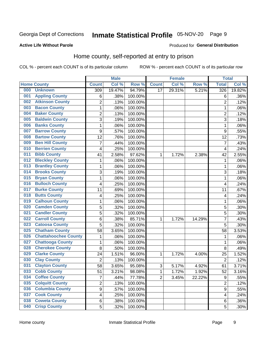## Inmate Statistical Profile 05-NOV-20 Page 9

### **Active Life Without Parole**

## Produced for General Distribution

## Home county, self-reported at entry to prison

COL % - percent each COUNT is of its particular column

|     |                             |                         | <b>Male</b> |         |                | <b>Female</b> |        | <b>Total</b>            |        |
|-----|-----------------------------|-------------------------|-------------|---------|----------------|---------------|--------|-------------------------|--------|
|     | <b>Home County</b>          | <b>Count</b>            | Col %       | Row %   | <b>Count</b>   | Col %         | Row %  | <b>Total</b>            | Col %  |
| 000 | <b>Unknown</b>              | 309                     | 19.47%      | 94.79%  | 17             | 29.31%        | 5.21%  | 326                     | 19.82% |
| 001 | <b>Appling County</b>       | 6                       | .38%        | 100.00% |                |               |        | 6                       | .36%   |
| 002 | <b>Atkinson County</b>      | $\overline{2}$          | .13%        | 100.00% |                |               |        | $\overline{2}$          | .12%   |
| 003 | <b>Bacon County</b>         | $\mathbf 1$             | .06%        | 100.00% |                |               |        | 1                       | .06%   |
| 004 | <b>Baker County</b>         | $\overline{2}$          | .13%        | 100.00% |                |               |        | $\overline{2}$          | .12%   |
| 005 | <b>Baldwin County</b>       | 3                       | .19%        | 100.00% |                |               |        | 3                       | .18%   |
| 006 | <b>Banks County</b>         | $\mathbf{1}$            | .06%        | 100.00% |                |               |        | 1                       | .06%   |
| 007 | <b>Barrow County</b>        | 9                       | .57%        | 100.00% |                |               |        | 9                       | .55%   |
| 008 | <b>Bartow County</b>        | 12                      | .76%        | 100.00% |                |               |        | 12                      | .73%   |
| 009 | <b>Ben Hill County</b>      | 7                       | .44%        | 100.00% |                |               |        | $\overline{7}$          | .43%   |
| 010 | <b>Berrien County</b>       | 4                       | .25%        | 100.00% |                |               |        | $\overline{\mathbf{4}}$ | .24%   |
| 011 | <b>Bibb County</b>          | 41                      | 2.58%       | 97.62%  | 1              | 1.72%         | 2.38%  | 42                      | 2.55%  |
| 012 | <b>Bleckley County</b>      | 1                       | .06%        | 100.00% |                |               |        | 1                       | .06%   |
| 013 | <b>Brantley County</b>      | $\mathbf 1$             | .06%        | 100.00% |                |               |        | 1                       | .06%   |
| 014 | <b>Brooks County</b>        | 3                       | .19%        | 100.00% |                |               |        | 3                       | .18%   |
| 015 | <b>Bryan County</b>         | $\mathbf 1$             | .06%        | 100.00% |                |               |        | 1                       | .06%   |
| 016 | <b>Bulloch County</b>       | 4                       | .25%        | 100.00% |                |               |        | $\overline{4}$          | .24%   |
| 017 | <b>Burke County</b>         | 11                      | .69%        | 100.00% |                |               |        | 11                      | .67%   |
| 018 | <b>Butts County</b>         | 4                       | .25%        | 100.00% |                |               |        | 4                       | .24%   |
| 019 | <b>Calhoun County</b>       | $\mathbf 1$             | .06%        | 100.00% |                |               |        | 1                       | .06%   |
| 020 | <b>Camden County</b>        | 5                       | .32%        | 100.00% |                |               |        | 5                       | .30%   |
| 021 | <b>Candler County</b>       | 5                       | .32%        | 100.00% |                |               |        | 5                       | .30%   |
| 022 | <b>Carroll County</b>       | 6                       | .38%        | 85.71%  | 1              | 1.72%         | 14.29% | 7                       | .43%   |
| 023 | <b>Catoosa County</b>       | 5                       | .32%        | 100.00% |                |               |        | 5                       | .30%   |
| 025 | <b>Chatham County</b>       | 58                      | 3.65%       | 100.00% |                |               |        | 58                      | 3.53%  |
| 026 | <b>Chattahoochee County</b> | $\mathbf 1$             | .06%        | 100.00% |                |               |        | 1                       | .06%   |
| 027 | <b>Chattooga County</b>     | $\mathbf 1$             | .06%        | 100.00% |                |               |        | 1                       | .06%   |
| 028 | <b>Cherokee County</b>      | 8                       | .50%        | 100.00% |                |               |        | 8                       | .49%   |
| 029 | <b>Clarke County</b>        | 24                      | 1.51%       | 96.00%  | 1              | 1.72%         | 4.00%  | 25                      | 1.52%  |
| 030 | <b>Clay County</b>          | $\overline{2}$          | .13%        | 100.00% |                |               |        | $\overline{2}$          | .12%   |
| 031 | <b>Clayton County</b>       | 58                      | 3.65%       | 95.08%  | $\mathsf 3$    | 5.17%         | 4.92%  | 61                      | 3.71%  |
| 033 | <b>Cobb County</b>          | 51                      | 3.21%       | 98.08%  | 1              | 1.72%         | 1.92%  | 52                      | 3.16%  |
| 034 | <b>Coffee County</b>        | $\overline{7}$          | .44%        | 77.78%  | $\overline{2}$ | 3.45%         | 22.22% | $\boldsymbol{9}$        | .55%   |
| 035 | <b>Colquitt County</b>      | $\overline{2}$          | .13%        | 100.00% |                |               |        | $\overline{2}$          | .12%   |
| 036 | <b>Columbia County</b>      | $\overline{9}$          | .57%        | 100.00% |                |               |        | $\boldsymbol{9}$        | .55%   |
| 037 | <b>Cook County</b>          | $\overline{\mathbf{4}}$ | .25%        | 100.00% |                |               |        | 4                       | .24%   |
| 038 | <b>Coweta County</b>        | 6                       | .38%        | 100.00% |                |               |        | 6                       | .36%   |
| 040 | <b>Crisp County</b>         | 5                       | .32%        | 100.00% |                |               |        | 5                       | .30%   |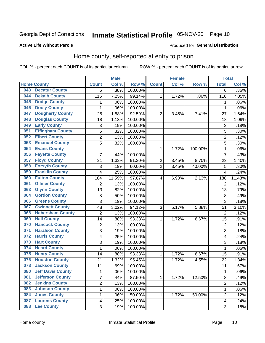## Inmate Statistical Profile 05-NOV-20 Page 10

Produced for General Distribution

## **Active Life Without Parole**

## Home county, self-reported at entry to prison

COL % - percent each COUNT is of its particular column

|     |                          |                | <b>Male</b> |                  |                | <b>Female</b> |         | <b>Total</b>            |        |
|-----|--------------------------|----------------|-------------|------------------|----------------|---------------|---------|-------------------------|--------|
|     | <b>Home County</b>       | <b>Count</b>   | Col %       | Row <sup>%</sup> | <b>Count</b>   | Col %         | Row %   | <b>Total</b>            | Col %  |
| 043 | <b>Decatur County</b>    | 6              | .38%        | 100.00%          |                |               |         | 6                       | .36%   |
| 044 | <b>Dekalb County</b>     | 115            | 7.25%       | 99.14%           | 1              | 1.72%         | .86%    | 116                     | 7.05%  |
| 045 | <b>Dodge County</b>      | 1              | .06%        | 100.00%          |                |               |         | 1                       | .06%   |
| 046 | <b>Dooly County</b>      | 1              | .06%        | 100.00%          |                |               |         | 1                       | .06%   |
| 047 | <b>Dougherty County</b>  | 25             | 1.58%       | 92.59%           | $\overline{2}$ | 3.45%         | 7.41%   | 27                      | 1.64%  |
| 048 | <b>Douglas County</b>    | 18             | 1.13%       | 100.00%          |                |               |         | 18                      | 1.09%  |
| 049 | <b>Early County</b>      | 3              | .19%        | 100.00%          |                |               |         | 3                       | .18%   |
| 051 | <b>Effingham County</b>  | 5              | .32%        | 100.00%          |                |               |         | 5                       | .30%   |
| 052 | <b>Elbert County</b>     | $\overline{2}$ | .13%        | 100.00%          |                |               |         | $\overline{2}$          | .12%   |
| 053 | <b>Emanuel County</b>    | 5              | .32%        | 100.00%          |                |               |         | 5                       | .30%   |
| 054 | <b>Evans County</b>      |                |             |                  | 1              | 1.72%         | 100.00% | 1                       | .06%   |
| 056 | <b>Fayette County</b>    | 7              | .44%        | 100.00%          |                |               |         | 7                       | .43%   |
| 057 | <b>Floyd County</b>      | 21             | 1.32%       | 91.30%           | $\overline{2}$ | 3.45%         | 8.70%   | 23                      | 1.40%  |
| 058 | <b>Forsyth County</b>    | 3              | .19%        | 60.00%           | $\overline{2}$ | 3.45%         | 40.00%  | 5                       | .30%   |
| 059 | <b>Franklin County</b>   | 4              | .25%        | 100.00%          |                |               |         | $\overline{4}$          | .24%   |
| 060 | <b>Fulton County</b>     | 184            | 11.59%      | 97.87%           | 4              | 6.90%         | 2.13%   | 188                     | 11.43% |
| 061 | <b>Gilmer County</b>     | $\overline{2}$ | .13%        | 100.00%          |                |               |         | $\overline{2}$          | .12%   |
| 063 | <b>Glynn County</b>      | 13             | .82%        | 100.00%          |                |               |         | 13                      | .79%   |
| 064 | <b>Gordon County</b>     | 8              | .50%        | 100.00%          |                |               |         | 8                       | .49%   |
| 066 | <b>Greene County</b>     | 3              | .19%        | 100.00%          |                |               |         | 3                       | .18%   |
| 067 | <b>Gwinnett County</b>   | 48             | 3.02%       | 94.12%           | 3              | 5.17%         | 5.88%   | 51                      | 3.10%  |
| 068 | <b>Habersham County</b>  | $\overline{2}$ | .13%        | 100.00%          |                |               |         | $\overline{2}$          | .12%   |
| 069 | <b>Hall County</b>       | 14             | .88%        | 93.33%           | 1              | 1.72%         | 6.67%   | 15                      | .91%   |
| 070 | <b>Hancock County</b>    | 2              | .13%        | 100.00%          |                |               |         | $\overline{2}$          | .12%   |
| 071 | <b>Haralson County</b>   | 3              | .19%        | 100.00%          |                |               |         | 3                       | .18%   |
| 072 | <b>Harris County</b>     | 4              | .25%        | 100.00%          |                |               |         | 4                       | .24%   |
| 073 | <b>Hart County</b>       | 3              | .19%        | 100.00%          |                |               |         | 3                       | .18%   |
| 074 | <b>Heard County</b>      | 1              | .06%        | 100.00%          |                |               |         | 1                       | .06%   |
| 075 | <b>Henry County</b>      | 14             | .88%        | 93.33%           | 1              | 1.72%         | 6.67%   | 15                      | .91%   |
| 076 | <b>Houston County</b>    | 21             | 1.32%       | 95.45%           | 1              | 1.72%         | 4.55%   | 22                      | 1.34%  |
| 078 | <b>Jackson County</b>    | 11             | .69%        | 100.00%          |                |               |         | 11                      | .67%   |
| 080 | <b>Jeff Davis County</b> | 1              | .06%        | 100.00%          |                |               |         | 1                       | .06%   |
| 081 | <b>Jefferson County</b>  | $\overline{7}$ | .44%        | 87.50%           | 1              | 1.72%         | 12.50%  | 8                       | .49%   |
| 082 | <b>Jenkins County</b>    | 2              | .13%        | 100.00%          |                |               |         | $\overline{2}$          | .12%   |
| 083 | <b>Johnson County</b>    | 1              | .06%        | 100.00%          |                |               |         | 1                       | .06%   |
| 084 | <b>Jones County</b>      | 1              | .06%        | 50.00%           | 1              | 1.72%         | 50.00%  | $\overline{2}$          | .12%   |
| 087 | <b>Laurens County</b>    | 4              | .25%        | 100.00%          |                |               |         | $\overline{\mathbf{4}}$ | .24%   |
| 088 | <b>Lee County</b>        | 3              | .19%        | 100.00%          |                |               |         | 3                       | .18%   |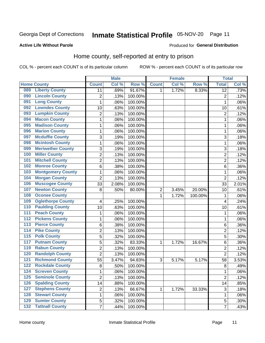#### Inmate Statistical Profile 05-NOV-20 Page 11

### **Active Life Without Parole**

## Produced for General Distribution

## Home county, self-reported at entry to prison

COL % - percent each COUNT is of its particular column

|                  |                          |                         | <b>Male</b> |         |                  | <b>Female</b> |         | <b>Total</b>    |       |
|------------------|--------------------------|-------------------------|-------------|---------|------------------|---------------|---------|-----------------|-------|
|                  | <b>Home County</b>       | <b>Count</b>            | Col %       | Row %   | <b>Count</b>     | Col %         | Row %   | <b>Total</b>    | Col % |
| 089              | <b>Liberty County</b>    | 11                      | .69%        | 91.67%  | 1                | 1.72%         | 8.33%   | $\overline{12}$ | .73%  |
| 090              | <b>Lincoln County</b>    | $\overline{2}$          | .13%        | 100.00% |                  |               |         | $\overline{2}$  | .12%  |
| 091              | <b>Long County</b>       | $\mathbf 1$             | .06%        | 100.00% |                  |               |         | 1               | .06%  |
| 092              | <b>Lowndes County</b>    | 10                      | .63%        | 100.00% |                  |               |         | 10              | .61%  |
| 093              | <b>Lumpkin County</b>    | $\overline{2}$          | .13%        | 100.00% |                  |               |         | $\overline{2}$  | .12%  |
| 094              | <b>Macon County</b>      | $\mathbf 1$             | .06%        | 100.00% |                  |               |         | 1               | .06%  |
| 095              | <b>Madison County</b>    | $\mathbf 1$             | .06%        | 100.00% |                  |               |         | 1               | .06%  |
| 096              | <b>Marion County</b>     | $\mathbf 1$             | .06%        | 100.00% |                  |               |         | 1               | .06%  |
| 097              | <b>Mcduffie County</b>   | 3                       | .19%        | 100.00% |                  |               |         | 3               | .18%  |
| 098              | <b>Mcintosh County</b>   | $\mathbf 1$             | .06%        | 100.00% |                  |               |         | 1               | .06%  |
| 099              | <b>Meriwether County</b> | 3                       | .19%        | 100.00% |                  |               |         | 3               | .18%  |
| 100              | <b>Miller County</b>     | $\overline{2}$          | .13%        | 100.00% |                  |               |         | $\overline{2}$  | .12%  |
| 101              | <b>Mitchell County</b>   | $\overline{c}$          | .13%        | 100.00% |                  |               |         | $\overline{2}$  | .12%  |
| 102              | <b>Monroe County</b>     | 6                       | .38%        | 100.00% |                  |               |         | 6               | .36%  |
| 103              | <b>Montgomery County</b> | $\mathbf 1$             | .06%        | 100.00% |                  |               |         | 1               | .06%  |
| 104              | <b>Morgan County</b>     | $\overline{2}$          | .13%        | 100.00% |                  |               |         | $\overline{2}$  | .12%  |
| 106              | <b>Muscogee County</b>   | 33                      | 2.08%       | 100.00% |                  |               |         | 33              | 2.01% |
| 107              | <b>Newton County</b>     | 8                       | .50%        | 80.00%  | $\boldsymbol{2}$ | 3.45%         | 20.00%  | 10              | .61%  |
| 108              | <b>Oconee County</b>     |                         |             |         | 1                | 1.72%         | 100.00% | 1               | .06%  |
| 109              | <b>Oglethorpe County</b> | $\overline{\mathbf{4}}$ | .25%        | 100.00% |                  |               |         | $\overline{4}$  | .24%  |
| 110              | <b>Paulding County</b>   | 10                      | .63%        | 100.00% |                  |               |         | 10              | .61%  |
| $\overline{111}$ | <b>Peach County</b>      | $\mathbf 1$             | .06%        | 100.00% |                  |               |         | 1               | .06%  |
| $\overline{112}$ | <b>Pickens County</b>    | $\mathbf 1$             | .06%        | 100.00% |                  |               |         | 1               | .06%  |
| 113              | <b>Pierce County</b>     | 6                       | .38%        | 100.00% |                  |               |         | 6               | .36%  |
| 114              | <b>Pike County</b>       | $\overline{2}$          | .13%        | 100.00% |                  |               |         | $\overline{2}$  | .12%  |
| 115              | <b>Polk County</b>       | 5                       | .32%        | 100.00% |                  |               |         | 5               | .30%  |
| 117              | <b>Putnam County</b>     | 5                       | .32%        | 83.33%  | 1                | 1.72%         | 16.67%  | 6               | .36%  |
| 119              | <b>Rabun County</b>      | $\overline{2}$          | .13%        | 100.00% |                  |               |         | $\overline{2}$  | .12%  |
| 120              | <b>Randolph County</b>   | $\overline{2}$          | .13%        | 100.00% |                  |               |         | $\overline{2}$  | .12%  |
| 121              | <b>Richmond County</b>   | 55                      | 3.47%       | 94.83%  | 3                | 5.17%         | 5.17%   | 58              | 3.53% |
| 122              | <b>Rockdale County</b>   | 8                       | .50%        | 100.00% |                  |               |         | 8               | .49%  |
| 124              | <b>Screven County</b>    | 1                       | .06%        | 100.00% |                  |               |         | 1               | .06%  |
| 125              | <b>Seminole County</b>   | $\overline{2}$          | .13%        | 100.00% |                  |               |         | $\overline{2}$  | .12%  |
| 126              | <b>Spalding County</b>   | 14                      | .88%        | 100.00% |                  |               |         | 14              | .85%  |
| 127              | <b>Stephens County</b>   | $\overline{c}$          | .13%        | 66.67%  | 1                | 1.72%         | 33.33%  | $\mathsf 3$     | .18%  |
| 128              | <b>Stewart County</b>    | $\mathbf 1$             | .06%        | 100.00% |                  |               |         | 1               | .06%  |
| 129              | <b>Sumter County</b>     | 5                       | .32%        | 100.00% |                  |               |         | 5               | .30%  |
| $132$            | <b>Tattnall County</b>   | $\overline{7}$          | .44%        | 100.00% |                  |               |         | $\overline{7}$  | .43%  |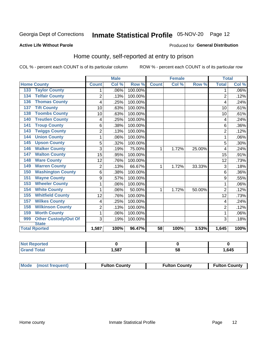## Inmate Statistical Profile 05-NOV-20 Page 12

### **Active Life Without Parole**

## Produced for General Distribution

## Home county, self-reported at entry to prison

COL % - percent each COUNT is of its particular column

|                                 |                | <b>Male</b>                |         | <b>Female</b>   |       | <b>Total</b> |                |       |
|---------------------------------|----------------|----------------------------|---------|-----------------|-------|--------------|----------------|-------|
| <b>Home County</b>              | <b>Count</b>   | $\overline{\text{Col }^9}$ | Row %   | <b>Count</b>    | Col % | Row %        | <b>Total</b>   | Col % |
| <b>Taylor County</b><br>133     | 1              | .06%                       | 100.00% |                 |       |              | 1              | .06%  |
| <b>Telfair County</b><br>134    | $\overline{c}$ | .13%                       | 100.00% |                 |       |              | $\overline{2}$ | .12%  |
| <b>Thomas County</b><br>136     | 4              | .25%                       | 100.00% |                 |       |              | 4              | .24%  |
| <b>Tift County</b><br>137       | 10             | .63%                       | 100.00% |                 |       |              | 10             | .61%  |
| <b>Toombs County</b><br>138     | 10             | .63%                       | 100.00% |                 |       |              | 10             | .61%  |
| <b>Treutlen County</b><br>140   | 4              | .25%                       | 100.00% |                 |       |              | 4              | .24%  |
| <b>Troup County</b><br>141      | 6              | .38%                       | 100.00% |                 |       |              | 6              | .36%  |
| <b>Twiggs County</b><br>143     | $\overline{c}$ | .13%                       | 100.00% |                 |       |              | $\overline{2}$ | .12%  |
| <b>Union County</b><br>144      | 1              | .06%                       | 100.00% |                 |       |              | 1              | .06%  |
| <b>Upson County</b><br>145      | 5              | .32%                       | 100.00% |                 |       |              | 5              | .30%  |
| <b>Walker County</b><br>146     | 3              | .19%                       | 75.00%  | 1               | 1.72% | 25.00%       | 4              | .24%  |
| <b>Walton County</b><br>147     | 15             | .95%                       | 100.00% |                 |       |              | 15             | .91%  |
| <b>Ware County</b><br>148       | 12             | .76%                       | 100.00% |                 |       |              | 12             | .73%  |
| <b>Warren County</b><br>149     | 2              | .13%                       | 66.67%  | 1               | 1.72% | 33.33%       | 3              | .18%  |
| <b>Washington County</b><br>150 | 6              | .38%                       | 100.00% |                 |       |              | 6              | .36%  |
| <b>Wayne County</b><br>151      | 9              | .57%                       | 100.00% |                 |       |              | 9              | .55%  |
| <b>Wheeler County</b><br>153    | 1              | .06%                       | 100.00% |                 |       |              | 1              | .06%  |
| <b>White County</b><br>154      | 1              | .06%                       | 50.00%  | 1               | 1.72% | 50.00%       | $\overline{2}$ | .12%  |
| <b>Whitfield County</b><br>155  | 12             | .76%                       | 100.00% |                 |       |              | 12             | .73%  |
| <b>Wilkes County</b><br>157     | 4              | .25%                       | 100.00% |                 |       |              | 4              | .24%  |
| <b>Wilkinson County</b><br>158  | $\overline{2}$ | .13%                       | 100.00% |                 |       |              | $\overline{c}$ | .12%  |
| <b>Worth County</b><br>159      | 1              | .06%                       | 100.00% |                 |       |              | 1              | .06%  |
| Other Custody/Out Of<br>999     | 3              | .19%                       | 100.00% |                 |       |              | 3              | .18%  |
| <b>State</b>                    |                |                            |         |                 |       |              |                |       |
| <b>Total Rported</b>            | 1,587          | 100%                       | 96.47%  | $\overline{58}$ | 100%  | 3.53%        | 1,645          | 100%  |

| <b>NOT</b><br><b>Reported</b> |      |    |      |
|-------------------------------|------|----|------|
| <b>otal</b>                   | ,587 | ວດ | ,645 |

| Mode (most frequent) | <b>Fulton County</b> | <b>Fulton County</b> | <b>Fulton County</b> |
|----------------------|----------------------|----------------------|----------------------|
|----------------------|----------------------|----------------------|----------------------|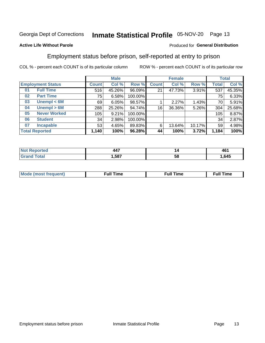## Inmate Statistical Profile 05-NOV-20 Page 13

### **Active Life Without Parole**

### Produced for General Distribution

## Employment status before prison, self-reported at entry to prison

COL % - percent each COUNT is of its particular column

|                           |              | <b>Male</b> |         |              | <b>Female</b> |        |       | <b>Total</b> |
|---------------------------|--------------|-------------|---------|--------------|---------------|--------|-------|--------------|
| <b>Employment Status</b>  | <b>Count</b> | Col %       | Row %   | <b>Count</b> | Col %         | Row %  | Total | Col %        |
| <b>Full Time</b><br>01    | 516          | 45.26%      | 96.09%  | 21           | 47.73%        | 3.91%  | 537   | 45.35%       |
| <b>Part Time</b><br>02    | 75           | 6.58%       | 100.00% |              |               |        | 75    | 6.33%        |
| Unempl $<$ 6M<br>03       | 69           | 6.05%       | 98.57%  |              | 2.27%         | 1.43%  | 70    | 5.91%        |
| Unempl > 6M<br>04         | 288          | 25.26%      | 94.74%  | 16           | 36.36%        | 5.26%  | 304   | 25.68%       |
| <b>Never Worked</b><br>05 | 105          | 9.21%       | 100.00% |              |               |        | 105   | 8.87%        |
| <b>Student</b><br>06      | 34           | 2.98%       | 100.00% |              |               |        | 34    | 2.87%        |
| <b>Incapable</b><br>07    | 53           | 4.65%       | 89.83%  | 6            | 13.64%        | 10.17% | 59    | 4.98%        |
| <b>Total Reported</b>     | 1,140        | 100%        | 96.28%  | 44           | 100%          | 3.72%  | 1,184 | 100%         |

| $\overline{\phantom{a}}$<br>$  -$ | "  | 461  |
|-----------------------------------|----|------|
| .587                              | ວເ | .645 |

| Mc | ∴ul! | ----<br>ıme<br>w |
|----|------|------------------|
|    |      |                  |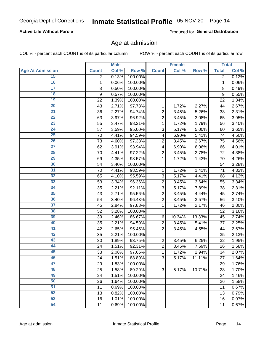## **Active Life Without Parole**

Produced for General Distribution

## Age at admission

COL % - percent each COUNT is of its particular column

|                         |              | <b>Male</b> |         |                | <b>Female</b> |        |              | <b>Total</b> |
|-------------------------|--------------|-------------|---------|----------------|---------------|--------|--------------|--------------|
| <b>Age At Admission</b> | <b>Count</b> | Col %       | Row %   | <b>Count</b>   | Col %         | Row %  | <b>Total</b> | Col %        |
| 15                      | 2            | 0.13%       | 100.00% |                |               |        | 2            | 0.12%        |
| 16                      | 1            | 0.06%       | 100.00% |                |               |        | 1            | 0.06%        |
| $\overline{17}$         | 8            | 0.50%       | 100.00% |                |               |        | 8            | 0.49%        |
| 18                      | 9            | 0.57%       | 100.00% |                |               |        | 9            | 0.55%        |
| 19                      | 22           | 1.39%       | 100.00% |                |               |        | 22           | 1.34%        |
| $\overline{20}$         | 43           | 2.71%       | 97.73%  | 1              | 1.72%         | 2.27%  | 44           | 2.67%        |
| 21                      | 36           | 2.27%       | 94.74%  | $\overline{2}$ | 3.45%         | 5.26%  | 38           | 2.31%        |
| 22                      | 63           | 3.97%       | 96.92%  | $\overline{2}$ | 3.45%         | 3.08%  | 65           | 3.95%        |
| 23                      | 55           | 3.47%       | 98.21%  | 1              | 1.72%         | 1.79%  | 56           | 3.40%        |
| 24                      | 57           | 3.59%       | 95.00%  | 3              | 5.17%         | 5.00%  | 60           | 3.65%        |
| $\overline{25}$         | 70           | 4.41%       | 94.59%  | 4              | 6.90%         | 5.41%  | 74           | 4.50%        |
| 26                      | 73           | 4.60%       | 97.33%  | $\overline{2}$ | 3.45%         | 2.67%  | 75           | 4.56%        |
| $\overline{27}$         | 62           | 3.91%       | 93.94%  | 4              | 6.90%         | 6.06%  | 66           | 4.01%        |
| 28                      | 70           | 4.41%       | 97.22%  | $\overline{2}$ | 3.45%         | 2.78%  | 72           | 4.38%        |
| 29                      | 69           | 4.35%       | 98.57%  | 1              | 1.72%         | 1.43%  | 70           | 4.26%        |
| 30                      | 54           | 3.40%       | 100.00% |                |               |        | 54           | 3.28%        |
| $\overline{31}$         | 70           | 4.41%       | 98.59%  | 1              | 1.72%         | 1.41%  | 71           | 4.32%        |
| 32                      | 65           | 4.10%       | 95.59%  | 3              | 5.17%         | 4.41%  | 68           | 4.13%        |
| 33                      | 53           | 3.34%       | 96.36%  | $\overline{2}$ | 3.45%         | 3.64%  | 55           | 3.34%        |
| 34                      | 35           | 2.21%       | 92.11%  | 3              | 5.17%         | 7.89%  | 38           | 2.31%        |
| 35                      | 43           | 2.71%       | 95.56%  | $\overline{2}$ | 3.45%         | 4.44%  | 45           | 2.74%        |
| 36                      | 54           | 3.40%       | 96.43%  | $\overline{2}$ | 3.45%         | 3.57%  | 56           | 3.40%        |
| $\overline{37}$         | 45           | 2.84%       | 97.83%  | 1              | 1.72%         | 2.17%  | 46           | 2.80%        |
| 38                      | 52           | 3.28%       | 100.00% |                |               |        | 52           | 3.16%        |
| 39                      | 39           | 2.46%       | 86.67%  | 6              | 10.34%        | 13.33% | 45           | 2.74%        |
| 40                      | 35           | 2.21%       | 94.59%  | $\overline{2}$ | 3.45%         | 5.41%  | 37           | 2.25%        |
| 41                      | 42           | 2.65%       | 95.45%  | $\overline{2}$ | 3.45%         | 4.55%  | 44           | 2.67%        |
| 42                      | 35           | 2.21%       | 100.00% |                |               |        | 35           | 2.13%        |
| 43                      | 30           | 1.89%       | 93.75%  | $\overline{2}$ | 3.45%         | 6.25%  | 32           | 1.95%        |
| 44                      | 24           | 1.51%       | 92.31%  | $\overline{2}$ | 3.45%         | 7.69%  | 26           | 1.58%        |
| 45                      | 33           | 2.08%       | 97.06%  | 1              | 1.72%         | 2.94%  | 34           | 2.07%        |
| 46                      | 24           | 1.51%       | 88.89%  | 3              | 5.17%         | 11.11% | 27           | 1.64%        |
| 47                      | 29           | 1.83%       | 100.00% |                |               |        | 29           | 1.76%        |
| 48                      | 25           | 1.58%       | 89.29%  | 3              | 5.17%         | 10.71% | 28           | 1.70%        |
| 49                      | 24           | 1.51%       | 100.00% |                |               |        | 24           | 1.46%        |
| 50                      | 26           | 1.64%       | 100.00% |                |               |        | 26           | 1.58%        |
| $\overline{51}$         | 11           | 0.69%       | 100.00% |                |               |        | 11           | 0.67%        |
| 52                      | 13           | 0.82%       | 100.00% |                |               |        | 13           | 0.79%        |
| 53                      | 16           | 1.01%       | 100.00% |                |               |        | 16           | 0.97%        |
| 54                      | 11           | 0.69%       | 100.00% |                |               |        | 11           | 0.67%        |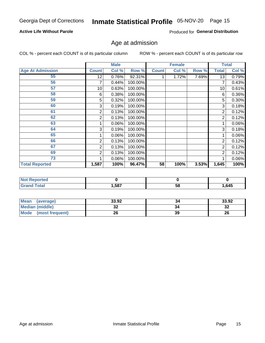## Inmate Statistical Profile 05-NOV-20 Page 15

## **Active Life Without Parole**

Produced for General Distribution

## Age at admission

COL % - percent each COUNT is of its particular column

|                         |              | <b>Male</b> |         |              | <b>Female</b> |       |                | <b>Total</b> |
|-------------------------|--------------|-------------|---------|--------------|---------------|-------|----------------|--------------|
| <b>Age At Admission</b> | <b>Count</b> | Col %       | Row %   | <b>Count</b> | Col %         | Row % | <b>Total</b>   | Col %        |
| 55                      | 12           | 0.76%       | 92.31%  |              | 1.72%         | 7.69% | 13             | 0.79%        |
| 56                      | 7            | 0.44%       | 100.00% |              |               |       |                | 0.43%        |
| 57                      | 10           | 0.63%       | 100.00% |              |               |       | 10             | 0.61%        |
| 58                      | 6            | 0.38%       | 100.00% |              |               |       | 6              | 0.36%        |
| 59                      | 5            | 0.32%       | 100.00% |              |               |       | 5              | $0.30\%$     |
| 60                      | 3            | 0.19%       | 100.00% |              |               |       | 3              | 0.18%        |
| 61                      | 2            | 0.13%       | 100.00% |              |               |       | 2              | 0.12%        |
| 62                      | 2            | 0.13%       | 100.00% |              |               |       | 2              | 0.12%        |
| 63                      |              | 0.06%       | 100.00% |              |               |       |                | 0.06%        |
| 64                      | 3            | 0.19%       | 100.00% |              |               |       | 3              | 0.18%        |
| 65                      |              | 0.06%       | 100.00% |              |               |       |                | 0.06%        |
| 66                      | 2            | 0.13%       | 100.00% |              |               |       | 2              | 0.12%        |
| 67                      | 2            | 0.13%       | 100.00% |              |               |       | 2              | 0.12%        |
| 69                      | 2            | 0.13%       | 100.00% |              |               |       | $\overline{2}$ | 0.12%        |
| 73                      |              | 0.06%       | 100.00% |              |               |       |                | 0.06%        |
| <b>Total Reported</b>   | 1,587        | 100%        | 96.47%  | 58           | 100%          | 3.53% | 1,645          | 100%         |

| : Reported<br><b>NOT</b> |      |   |       |
|--------------------------|------|---|-------|
| Total                    | ,587 | ວ | 1,645 |

| <b>Mean</b><br>(average) | 33.92    | 34 | 33.92   |
|--------------------------|----------|----|---------|
| <b>Median (middle)</b>   | ^^<br>JŁ |    | …<br>34 |
| Mode<br>(most frequent)  | 26       | 39 | 26      |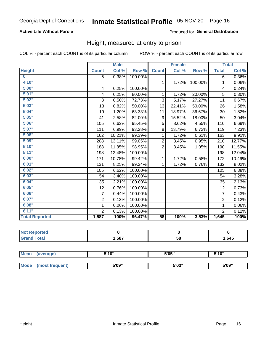## **Active Life Without Parole**

### Produced for General Distribution

## Height, measured at entry to prison

COL % - percent each COUNT is of its particular column

|                       |                | <b>Male</b> |         |                 | <b>Female</b> |         |                | <b>Total</b> |
|-----------------------|----------------|-------------|---------|-----------------|---------------|---------|----------------|--------------|
| <b>Height</b>         | <b>Count</b>   | Col %       | Row %   | <b>Count</b>    | Col %         | Row %   | <b>Total</b>   | Col %        |
| $\bf{0}$              | 6              | 0.38%       | 100.00% |                 |               |         | 6              | $0.36\%$     |
| 4'10"                 |                |             |         | $\mathbf{1}$    | 1.72%         | 100.00% | $\mathbf{1}$   | 0.06%        |
| 5'00''                | 4              | 0.25%       | 100.00% |                 |               |         | 4              | 0.24%        |
| 5'01"                 | 4              | 0.25%       | 80.00%  | 1               | 1.72%         | 20.00%  | 5              | 0.30%        |
| 5'02"                 | 8              | 0.50%       | 72.73%  | 3               | 5.17%         | 27.27%  | 11             | 0.67%        |
| 5'03''                | 13             | 0.82%       | 50.00%  | 13              | 22.41%        | 50.00%  | 26             | 1.58%        |
| 5'04"                 | 19             | 1.20%       | 63.33%  | 11              | 18.97%        | 36.67%  | 30             | 1.82%        |
| 5'05"                 | 41             | 2.58%       | 82.00%  | 9               | 15.52%        | 18.00%  | 50             | 3.04%        |
| 5'06''                | 105            | 6.62%       | 95.45%  | 5               | 8.62%         | 4.55%   | 110            | 6.69%        |
| 5'07"                 | 111            | 6.99%       | 93.28%  | 8               | 13.79%        | 6.72%   | 119            | 7.23%        |
| 5'08''                | 162            | 10.21%      | 99.39%  | 1               | 1.72%         | 0.61%   | 163            | 9.91%        |
| 5'09''                | 208            | 13.11%      | 99.05%  | $\overline{2}$  | 3.45%         | 0.95%   | 210            | 12.77%       |
| 5'10''                | 188            | 11.85%      | 98.95%  | $\overline{2}$  | 3.45%         | 1.05%   | 190            | 11.55%       |
| 5'11''                | 198            | 12.48%      | 100.00% |                 |               |         | 198            | 12.04%       |
| 6'00''                | 171            | 10.78%      | 99.42%  | 1               | 1.72%         | 0.58%   | 172            | 10.46%       |
| 6'01''                | 131            | 8.25%       | 99.24%  | 1               | 1.72%         | 0.76%   | 132            | 8.02%        |
| 6'02"                 | 105            | 6.62%       | 100.00% |                 |               |         | 105            | 6.38%        |
| 6'03''                | 54             | 3.40%       | 100.00% |                 |               |         | 54             | 3.28%        |
| 6'04"                 | 35             | 2.21%       | 100.00% |                 |               |         | 35             | 2.13%        |
| 6'05"                 | 12             | 0.76%       | 100.00% |                 |               |         | 12             | 0.73%        |
| 6'06''                | $\overline{7}$ | 0.44%       | 100.00% |                 |               |         | $\overline{7}$ | 0.43%        |
| 6'07''                | $\overline{2}$ | 0.13%       | 100.00% |                 |               |         | $\overline{2}$ | 0.12%        |
| 6'08''                | 1              | 0.06%       | 100.00% |                 |               |         | $\mathbf{1}$   | 0.06%        |
| 6'11''                | $\overline{2}$ | 0.13%       | 100.00% |                 |               |         | $\overline{2}$ | 0.12%        |
| <b>Total Reported</b> | 1,587          | 100%        | 96.47%  | $\overline{58}$ | 100%          | 3.53%   | 1,645          | 100%         |

| <b>NOT</b><br>rteo<br>a ka mata da da da da<br>$\sim$ |      |    |      |
|-------------------------------------------------------|------|----|------|
| $\sim$                                                | ,587 | 58 | ,645 |

| Mean | (average)       | 5'10" | 5'05"           | 5'10"<br>J |
|------|-----------------|-------|-----------------|------------|
|      |                 |       |                 |            |
| Mode | (most frequent) | 5'09" | EINS !!<br>ว บง | 5'09"      |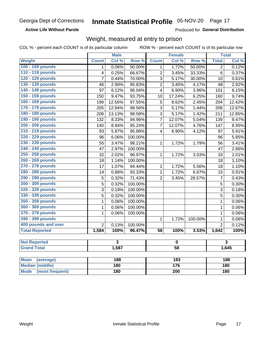### **Active Life Without Parole**

Produced for General Distribution

## Weight, measured at entry to prison

COL % - percent each COUNT is of its particular column

ROW % - percent each COUNT is of its particular row

|                          |                | <b>Male</b>             |                  |                         | <b>Female</b>    |                  |                | <b>Total</b>            |  |
|--------------------------|----------------|-------------------------|------------------|-------------------------|------------------|------------------|----------------|-------------------------|--|
| <b>Weight</b>            | <b>Count</b>   | Col %                   | Row <sup>%</sup> | <b>Count</b>            | Col %            | Row <sup>%</sup> | <b>Total</b>   | Col %                   |  |
| 100 - 109 pounds         | 1              | 0.06%                   | 50.00%           | 1                       | 1.72%            | 50.00%           | $\overline{2}$ | 0.12%                   |  |
| 110 - 119 pounds         | 4              | 0.25%                   | 66.67%           | $\overline{2}$          | 3.45%            | 33.33%           | 6              | 0.37%                   |  |
| 120 - 129 pounds         | 7              | 0.44%                   | 70.00%           | 3                       | 5.17%            | 30.00%           | 10             | 0.61%                   |  |
| 130 - 139 pounds         | 46             | 2.90%                   | 95.83%           | $\overline{2}$          | 3.45%            | 4.17%            | 48             | 2.92%                   |  |
| 140 - 149 pounds         | 97             | 6.12%                   | 96.04%           | 4                       | 6.90%            | 3.96%            | 101            | 6.15%                   |  |
| 150 - 159 pounds         | 150            | 9.47%                   | 93.75%           | 10                      | 17.24%           | 6.25%            | 160            | 9.74%                   |  |
| 160 - 169 pounds         | 199            | 12.56%                  | 97.55%           | 5                       | 8.62%            | 2.45%            | 204            | 12.42%                  |  |
| 170 - 179 pounds         | 205            | 12.94%                  | 98.56%           | 3                       | 5.17%            | 1.44%            | 208            | 12.67%                  |  |
| 180 - 189 pounds         | 208            | 13.13%                  | 98.58%           | 3                       | 5.17%            | 1.42%            | 211            | 12.85%                  |  |
| 190 - 199 pounds         | 132            | 8.33%                   | 94.96%           | $\overline{7}$          | 12.07%           | 5.04%            | 139            | 8.47%                   |  |
| 200 - 209 pounds         | 140            | 8.84%                   | 95.24%           | $\overline{7}$          | 12.07%           | 4.76%            | 147            | 8.95%                   |  |
| 210 - 219 pounds         | 93             | $\frac{1}{5.87\%}$      | 95.88%           | $\overline{\mathbf{4}}$ | 6.90%            | 4.12%            | 97             | 5.91%                   |  |
| 220 - 229 pounds         | 96             | 6.06%                   | 100.00%          |                         |                  |                  | 96             | 5.85%                   |  |
| 230 - 239 pounds         | 55             | 3.47%                   | 98.21%           | 1                       | 1.72%            | 1.79%            | 56             | 3.41%                   |  |
| 240 - 249 pounds         | 47             | 2.97%                   | 100.00%          |                         |                  |                  | 47             | 2.86%                   |  |
| 250 - 259 pounds         | 32             | 2.02%                   | 96.97%           | 1                       | 1.72%            | 3.03%            | 33             | 2.01%                   |  |
| 260 - 269 pounds         | 18             | 1.14%                   | 100.00%          |                         |                  |                  | 18             | 1.10%                   |  |
| 270 - 279 pounds         | 17             | 1.07%                   | 94.44%           | 1                       | 1.72%            | 5.56%            | 18             | 1.10%                   |  |
| 280 - 289 pounds         | 14             | 0.88%                   | 93.33%           | 1                       | 1.72%            | 6.67%            | 15             | 0.91%                   |  |
| 290 - 299 pounds         | 5              | 0.32%                   | 71.43%           | $\overline{2}$          | 3.45%            | 28.57%           | $\overline{7}$ | $\overline{0.43\%}$     |  |
| 300 - 309 pounds         | $\overline{5}$ | 0.32%                   | 100.00%          |                         |                  |                  | 5              | 0.30%                   |  |
| 320 - 329 pounds         | 3              | 0.19%                   | 100.00%          |                         |                  |                  | 3              | 0.18%                   |  |
| 330 - 339 pounds         | $\overline{5}$ | 0.32%                   | 100.00%          |                         |                  |                  | 5              | 0.30%                   |  |
| 350 - 359 pounds         | 1              | 0.06%                   | 100.00%          |                         |                  |                  | $\mathbf 1$    | 0.06%                   |  |
| 360 - 369 pounds         | 1              | 0.06%                   | 100.00%          |                         |                  |                  | $\mathbf 1$    | 0.06%                   |  |
| 370 - 379 pounds         | 1              | 0.06%                   | 100.00%          |                         |                  |                  | $\mathbf 1$    | 0.06%                   |  |
| 390 - 399 pounds         |                |                         |                  | 1                       | 1.72%            | 100.00%          | 1              | 0.06%                   |  |
| 400 pounds and over      | $\overline{2}$ | 0.13%                   | 100.00%          |                         |                  |                  | $\overline{2}$ | 0.12%                   |  |
| <b>Total Reported</b>    | 1,584          | 100%                    | 96.47%           | $\overline{58}$         | 100%             | 3.53%            | 1,642          | 100%                    |  |
|                          |                |                         |                  |                         |                  |                  |                |                         |  |
| <b>Not Reported</b>      |                | $\overline{\mathbf{3}}$ |                  | $\mathbf 0$             |                  |                  |                | $\overline{\mathbf{3}}$ |  |
| <b>Grand Total</b>       |                | 1,587                   |                  | $\overline{58}$         |                  |                  | 1,645          |                         |  |
|                          |                |                         |                  |                         |                  |                  |                |                         |  |
| <b>Mean</b><br>(average) |                | 188                     |                  |                         | $\overline{183}$ |                  |                | 188                     |  |
| <b>Median (middle)</b>   |                | 180                     |                  | 176                     |                  |                  | 180            |                         |  |

**Mode** 

(most frequent)

 $\overline{200}$ 

 $\overline{180}$ 

 $180$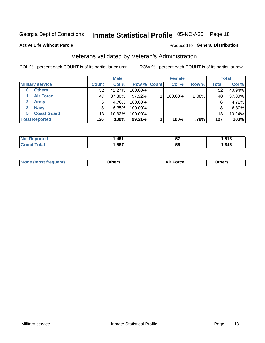## Inmate Statistical Profile 05-NOV-20 Page 18

### **Active Life Without Parole**

## Produced for General Distribution

## Veterans validated by Veteran's Administration

COL % - percent each COUNT is of its particular column

|                          |              | <b>Male</b> |                    | <b>Female</b> |       |              | <b>Total</b> |
|--------------------------|--------------|-------------|--------------------|---------------|-------|--------------|--------------|
| <b>Military service</b>  | <b>Count</b> | Col %       | <b>Row % Count</b> | Col %         | Row % | <b>Total</b> | Col %        |
| <b>Others</b><br>0       | 52           | 41.27%      | 100.00%            |               |       | 52           | 40.94%       |
| <b>Air Force</b>         | 47           | 37.30%      | 97.92%             | 100.00%       | 2.08% | 48           | 37.80%       |
| <b>Army</b>              | 6            | 4.76%       | 100.00%            |               |       | 6            | 4.72%        |
| <b>Navy</b><br>3         | 8            | 6.35%       | 100.00%            |               |       | 8            | 6.30%        |
| <b>Coast Guard</b><br>5. | 13           | 10.32%      | 100.00%            |               |       | 13           | 10.24%       |
| <b>Total Reported</b>    | 126          | 100%        | 99.21%             | 100%          | .79%  | 127          | 100%         |

| neo     | 46 <sup>4</sup> | --<br>v, | .518 |
|---------|-----------------|----------|------|
| $f = f$ | ,587            | 58       | ,645 |

| <b>Moo.</b> |
|-------------|
|-------------|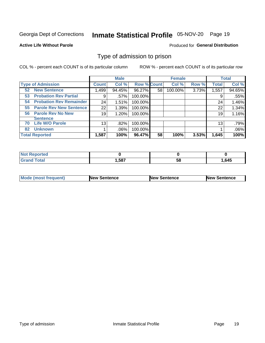## Inmate Statistical Profile 05-NOV-20 Page 19

### **Active Life Without Parole**

### Produced for General Distribution

## Type of admission to prison

COL % - percent each COUNT is of its particular column

|                                      |                 | <b>Male</b> |                    |    | <b>Female</b> |       |              | <b>Total</b> |
|--------------------------------------|-----------------|-------------|--------------------|----|---------------|-------|--------------|--------------|
| <b>Type of Admission</b>             | <b>Count</b>    | Col %       | <b>Row % Count</b> |    | Col %         | Row % | <b>Total</b> | Col %        |
| <b>New Sentence</b><br>52            | ,499            | 94.45%      | 96.27%             | 58 | 100.00%       | 3.73% | 1,557        | 94.65%       |
| <b>Probation Rev Partial</b><br>53   | 9               | .57%        | 100.00%            |    |               |       | 9            | .55%         |
| <b>Probation Rev Remainder</b><br>54 | 24              | 1.51%       | 100.00%            |    |               |       | 24           | 1.46%        |
| <b>Parole Rev New Sentence</b><br>55 | 22 <sub>1</sub> | 1.39%       | 100.00%            |    |               |       | 22           | 1.34%        |
| <b>Parole Rev No New</b><br>56       | 19              | 1.20%       | 100.00%            |    |               |       | 19           | 1.16%        |
| <b>Sentence</b>                      |                 |             |                    |    |               |       |              |              |
| <b>Life W/O Parole</b><br>70         | 13              | .82%        | 100.00%            |    |               |       | 13           | .79%         |
| <b>Unknown</b><br>82                 |                 | .06%        | 100.00%            |    |               |       |              | .06%         |
| <b>Total Reported</b>                | 1,587           | 100%        | 96.47%             | 58 | 100%          | 3.53% | 1,645        | 100%         |

| <b>Not Reported</b> |      |           |      |
|---------------------|------|-----------|------|
| <b>Total</b>        | ,587 | - -<br>Эō | .645 |

| <b>Mode (most frequent)</b> | <b>New Sentence</b> | <b>New Sentence</b> | <b>New Sentence</b> |
|-----------------------------|---------------------|---------------------|---------------------|
|                             |                     |                     |                     |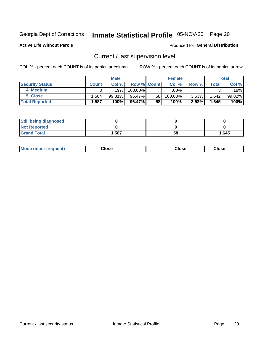## Inmate Statistical Profile 05-NOV-20 Page 20

**Active Life Without Parole** 

### Produced for General Distribution

## Current / last supervision level

COL % - percent each COUNT is of its particular column

|                        |              | <b>Male</b> |                    |    | <b>Female</b> |       |       | <b>Total</b> |
|------------------------|--------------|-------------|--------------------|----|---------------|-------|-------|--------------|
| <b>Security Status</b> | <b>Count</b> | Col%        | <b>Row % Count</b> |    | Col %         | Row % | Total | Col %        |
| 4 Medium               | ົ            | 19%।        | 100.00%            |    | $.00\%$       |       |       | .18%         |
| 5 Close                | .584         | 99.81%      | 96.47%             | 58 | 100.00%       | 3.53% | 1,642 | 99.82%       |
| <b>Total Reported</b>  | .587         | 100%        | 96.47%             | 58 | 100%          | 3.53% | 1,645 | 100%         |

| <b>Still being diagnosed</b> |       |    |       |
|------------------------------|-------|----|-------|
| <b>Not Reported</b>          |       |    |       |
| <b>Grand Total</b>           | 1,587 | 58 | 1,645 |

| <b>Mode (most frequent)</b> | Close | ∵lose | Close |
|-----------------------------|-------|-------|-------|
|                             |       |       |       |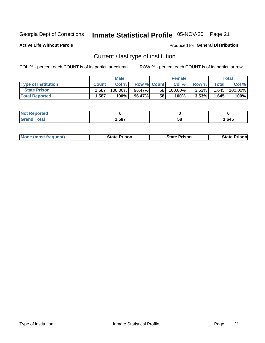## Inmate Statistical Profile 05-NOV-20 Page 21

**Active Life Without Parole** 

Produced for General Distribution

## Current / last type of institution

COL % - percent each COUNT is of its particular column

|                            |              | <b>Male</b> |                    |                 | <b>Female</b> |          |                | <b>Total</b> |
|----------------------------|--------------|-------------|--------------------|-----------------|---------------|----------|----------------|--------------|
| <b>Type of Institution</b> | <b>Count</b> | Col%        | <b>Row % Count</b> |                 | Col %         | Row %    | <b>Total</b> I | Col %        |
| <b>State Prison</b>        | 1.587        | 100.00%     | 96.47%             | 58 <sub>1</sub> | 100.00%       | $3.53\%$ | 1,645          | 100.00%      |
| <b>Total Reported</b>      | 1,587        | 100%        | 96.47%             | 58              | $100\%$ .     | $3.53\%$ | 1.645          | 100%         |

| tet |             |    |      |
|-----|-------------|----|------|
|     | 587<br>ו טע | ວເ | .645 |

|  | <b>Mode (most frequent)</b> | State Prison | <b>State Prison</b> | <b>State Prison</b> |
|--|-----------------------------|--------------|---------------------|---------------------|
|--|-----------------------------|--------------|---------------------|---------------------|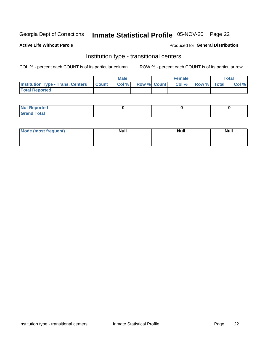## Inmate Statistical Profile 05-NOV-20 Page 22

### **Active Life Without Parole**

### Produced for General Distribution

## Institution type - transitional centers

COL % - percent each COUNT is of its particular column

|                                          |              | <b>Male</b> |             | <b>Female</b> |             | <b>Total</b> |
|------------------------------------------|--------------|-------------|-------------|---------------|-------------|--------------|
| <b>Institution Type - Trans. Centers</b> | <b>Count</b> | Col %       | Row % Count | Col %         | Row % Total | Col %        |
| <b>Total Reported</b>                    |              |             |             |               |             |              |

| <b>Reported</b><br><b>NOT</b><br>$\sim$            |  |  |
|----------------------------------------------------|--|--|
| $f$ $f \circ f \circ f$<br>$C = 1$<br><b>TULAI</b> |  |  |

| Mode (most frequent) | <b>Null</b> | <b>Null</b> | <b>Null</b> |
|----------------------|-------------|-------------|-------------|
|                      |             |             |             |
|                      |             |             |             |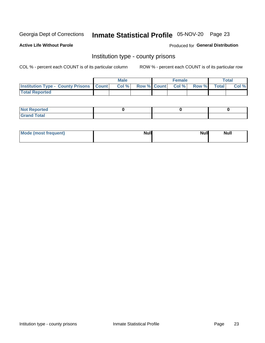## Inmate Statistical Profile 05-NOV-20 Page 23

**Active Life Without Parole** 

Produced for General Distribution

## Institution type - county prisons

COL % - percent each COUNT is of its particular column

|                                                    | <b>Male</b> |       |  | <b>Female</b> |                          |             | <b>Total</b> |       |  |
|----------------------------------------------------|-------------|-------|--|---------------|--------------------------|-------------|--------------|-------|--|
| <b>Institution Type - County Prisons   Count  </b> |             | Col % |  |               | <b>Row % Count Col %</b> | Row % Total |              | Col % |  |
| <b>Total Reported</b>                              |             |       |  |               |                          |             |              |       |  |

| <b>Not</b><br>: Reported<br> |  |  |
|------------------------------|--|--|
| <b>Total</b><br>---          |  |  |

| Mode (most frequent) | <b>Null</b> | <b>Null</b><br><b>Null</b> |
|----------------------|-------------|----------------------------|
|                      |             |                            |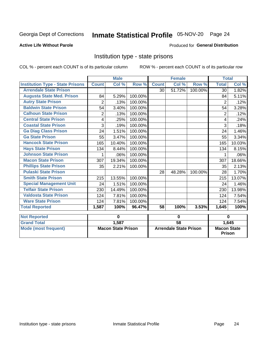## Inmate Statistical Profile 05-NOV-20 Page 24

### **Active Life Without Parole**

## Produced for General Distribution

## Institution type - state prisons

|                                         |                           | <b>Male</b> |         | <b>Female</b>                 |        |         | <b>Total</b>                          |        |
|-----------------------------------------|---------------------------|-------------|---------|-------------------------------|--------|---------|---------------------------------------|--------|
| <b>Institution Type - State Prisons</b> | <b>Count</b>              | Col %       | Row %   | <b>Count</b>                  | Col %  | Row %   | <b>Total</b>                          | Col %  |
| <b>Arrendale State Prison</b>           |                           |             |         | 30                            | 51.72% | 100.00% | 30                                    | 1.82%  |
| <b>Augusta State Med. Prison</b>        | 84                        | 5.29%       | 100.00% |                               |        |         | 84                                    | 5.11%  |
| <b>Autry State Prison</b>               | $\overline{2}$            | .13%        | 100.00% |                               |        |         | 2                                     | .12%   |
| <b>Baldwin State Prison</b>             | 54                        | 3.40%       | 100.00% |                               |        |         | 54                                    | 3.28%  |
| <b>Calhoun State Prison</b>             | 2                         | .13%        | 100.00% |                               |        |         | $\overline{2}$                        | .12%   |
| <b>Central State Prison</b>             | 4                         | .25%        | 100.00% |                               |        |         | 4                                     | .24%   |
| <b>Coastal State Prison</b>             | 3                         | .19%        | 100.00% |                               |        |         | 3                                     | .18%   |
| <b>Ga Diag Class Prison</b>             | 24                        | 1.51%       | 100.00% |                               |        |         | 24                                    | 1.46%  |
| <b>Ga State Prison</b>                  | 55                        | 3.47%       | 100.00% |                               |        |         | 55                                    | 3.34%  |
| <b>Hancock State Prison</b>             | 165                       | 10.40%      | 100.00% |                               |        |         | 165                                   | 10.03% |
| <b>Hays State Prison</b>                | 134                       | 8.44%       | 100.00% |                               |        |         | 134                                   | 8.15%  |
| <b>Johnson State Prison</b>             |                           | .06%        | 100.00% |                               |        |         |                                       | .06%   |
| <b>Macon State Prison</b>               | 307                       | 19.34%      | 100.00% |                               |        |         | 307                                   | 18.66% |
| <b>Phillips State Prison</b>            | 35                        | 2.21%       | 100.00% |                               |        |         | 35                                    | 2.13%  |
| <b>Pulaski State Prison</b>             |                           |             |         | 28                            | 48.28% | 100.00% | 28                                    | 1.70%  |
| <b>Smith State Prison</b>               | 215                       | 13.55%      | 100.00% |                               |        |         | 215                                   | 13.07% |
| <b>Special Management Unit</b>          | 24                        | 1.51%       | 100.00% |                               |        |         | 24                                    | 1.46%  |
| <b>Telfair State Prison</b>             | 230                       | 14.49%      | 100.00% |                               |        |         | 230                                   | 13.98% |
| <b>Valdosta State Prison</b>            | 124                       | 7.81%       | 100.00% |                               |        |         | 124                                   | 7.54%  |
| <b>Ware State Prison</b>                | 124                       | 7.81%       | 100.00% |                               |        |         | 124                                   | 7.54%  |
| <b>Total Reported</b>                   | 1,587                     | 100%        | 96.47%  | $\overline{58}$               | 100%   | 3.53%   | 1,645                                 | 100%   |
| <b>Not Reported</b>                     |                           | $\bf{0}$    |         | $\bf{0}$                      |        |         | $\bf{0}$                              |        |
| <b>Grand Total</b>                      |                           | 1,587       |         | $\overline{58}$               |        |         |                                       |        |
| <b>Mode (most frequent)</b>             | <b>Macon State Prison</b> |             |         | <b>Arrendale State Prison</b> |        |         | 1,645<br><b>Macon State</b><br>Prison |        |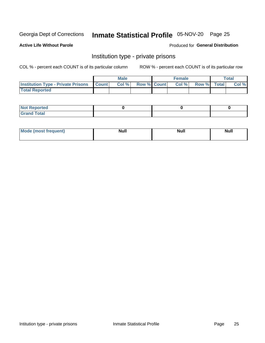## Inmate Statistical Profile 05-NOV-20 Page 25

**Active Life Without Parole** 

Produced for General Distribution

## Institution type - private prisons

COL % - percent each COUNT is of its particular column

|                                                 | <b>Male</b> |      |                    | <b>Female</b> |       |             | Total |       |
|-------------------------------------------------|-------------|------|--------------------|---------------|-------|-------------|-------|-------|
| <b>Institution Type - Private Prisons Count</b> |             | Col% | <b>Row % Count</b> |               | Col % | Row % Total |       | Col % |
| <b>Total Reported</b>                           |             |      |                    |               |       |             |       |       |

| Not Reported          |  |  |
|-----------------------|--|--|
| <b>Cotal</b><br>_____ |  |  |

| <b>Mo</b><br>frequent) | <b>Null</b> | <b>Null</b> | . . I *<br><b>IVUII</b> |
|------------------------|-------------|-------------|-------------------------|
|                        |             |             |                         |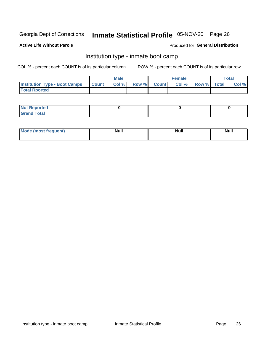## Inmate Statistical Profile 05-NOV-20 Page 26

### **Active Life Without Parole**

### Produced for General Distribution

## Institution type - inmate boot camp

COL % - percent each COUNT is of its particular column

|                                      | <b>Male</b>  |       |               |              | <b>Female</b> | <b>Total</b> |  |       |
|--------------------------------------|--------------|-------|---------------|--------------|---------------|--------------|--|-------|
| <b>Institution Type - Boot Camps</b> | <b>Count</b> | Col % | <b>Row %I</b> | <b>Count</b> | Col %         | Row % Total  |  | Col % |
| <b>Total Rported</b>                 |              |       |               |              |               |              |  |       |

| <b>Not Reported</b>            |  |  |
|--------------------------------|--|--|
| <b>Total</b><br>C <sub>r</sub> |  |  |

| Mod<br>uamo | Nul.<br>$- - - - - -$ | <b>Null</b> | <br>uu.<br>------ |
|-------------|-----------------------|-------------|-------------------|
|             |                       |             |                   |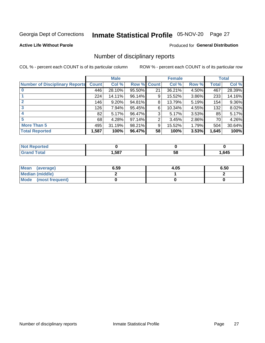## Inmate Statistical Profile 05-NOV-20 Page 27

**Active Life Without Parole** 

**Produced for General Distribution** 

## Number of disciplinary reports

COL % - percent each COUNT is of its particular column

|                                       | <b>Male</b>  |        |             | <b>Female</b> |        |       | <b>Total</b> |        |
|---------------------------------------|--------------|--------|-------------|---------------|--------|-------|--------------|--------|
| <b>Number of Disciplinary Reports</b> | <b>Count</b> | Col %  | Row % Count |               | Col %  | Row % | Total        | Col %  |
|                                       | 446          | 28.10% | $95.50\%$   | 21            | 36.21% | 4.50% | 467          | 28.39% |
|                                       | 224          | 14.11% | 96.14%      | 9             | 15.52% | 3.86% | 233          | 14.16% |
|                                       | 146          | 9.20%  | 94.81%      | 8             | 13.79% | 5.19% | 154          | 9.36%  |
| 3                                     | 126          | 7.94%  | 95.45%      | 6             | 10.34% | 4.55% | 132          | 8.02%  |
|                                       | 82           | 5.17%  | 96.47%      | 3             | 5.17%  | 3.53% | 85           | 5.17%  |
| 5                                     | 68           | 4.28%  | 97.14%      | 2             | 3.45%  | 2.86% | 70           | 4.26%  |
| <b>More Than 5</b>                    | 495          | 31.19% | 98.21%      | 9             | 15.52% | 1.79% | 504          | 30.64% |
| <b>Total Reported</b>                 | 1,587        | 100%   | 96.47%      | 58            | 100%   | 3.53% | 1,645        | 100%   |

| ר feo<br>NO |      |    |      |
|-------------|------|----|------|
| <b>otal</b> | .587 | 58 | .645 |

| Mean (average)       | 6.59 | 4.05 | 6.50 |
|----------------------|------|------|------|
| Median (middle)      |      |      |      |
| Mode (most frequent) |      |      |      |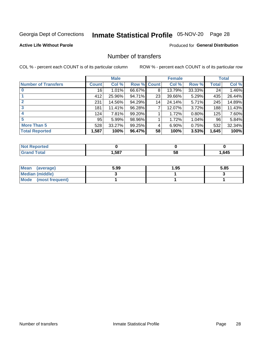## Inmate Statistical Profile 05-NOV-20 Page 28

## **Active Life Without Parole**

### **Produced for General Distribution**

## Number of transfers

COL % - percent each COUNT is of its particular column

|                            | <b>Male</b> |        | <b>Female</b> |    |        | <b>Total</b> |       |        |
|----------------------------|-------------|--------|---------------|----|--------|--------------|-------|--------|
| <b>Number of Transfers</b> | Count l     | Col %  | Row % Count   |    | Col %  | Row %        | Total | Col %  |
|                            | 16          | 1.01%  | 66.67%        | 8  | 13.79% | 33.33%       | 24    | 1.46%  |
|                            | 412         | 25.96% | 94.71%        | 23 | 39.66% | 5.29%        | 435   | 26.44% |
| 2                          | 231         | 14.56% | 94.29%        | 14 | 24.14% | 5.71%        | 245   | 14.89% |
| 3                          | 181         | 11.41% | 96.28%        | 7  | 12.07% | 3.72%        | 188   | 11.43% |
| 4                          | 124         | 7.81%  | 99.20%        |    | 1.72%  | 0.80%        | 125   | 7.60%  |
| 5                          | 95          | 5.99%  | 98.96%        |    | 1.72%  | $1.04\%$     | 96    | 5.84%  |
| <b>More Than 5</b>         | 528         | 33.27% | 99.25%        | 4  | 6.90%  | 0.75%        | 532   | 32.34% |
| <b>Total Reported</b>      | 1,587       | 100%   | 96.47%        | 58 | 100%   | 3.53%        | 1,645 | 100%   |

| NC           |      |    |      |
|--------------|------|----|------|
| <b>Total</b> | ,587 | Эō | .645 |

| Mean (average)       | 5.99 | 1.95 | 5.85 |
|----------------------|------|------|------|
| Median (middle)      |      |      |      |
| Mode (most frequent) |      |      |      |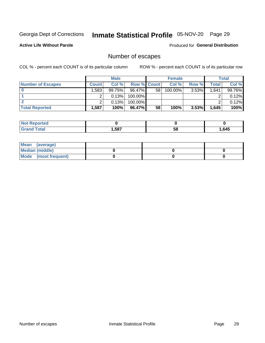## Inmate Statistical Profile 05-NOV-20 Page 29

**Active Life Without Parole** 

**Produced for General Distribution** 

## Number of escapes

COL % - percent each COUNT is of its particular column

|                          | <b>Male</b>       |        |                    | <b>Female</b> |         |       | <b>Total</b> |        |
|--------------------------|-------------------|--------|--------------------|---------------|---------|-------|--------------|--------|
| <b>Number of Escapes</b> | Count l           | Col %  | <b>Row % Count</b> |               | Col %   | Row % | Total        | Col %  |
|                          | .583 <sup>1</sup> | 99.75% | $96.47\%$          | 58            | 100.00% | 3.53% | 1,641        | 99.76% |
|                          |                   | 0.13%  | 100.00%            |               |         |       |              | 0.12%  |
|                          |                   | 0.13%  | 100.00%            |               |         |       |              | 0.12%  |
| <b>Total Reported</b>    | .587'             | 100%   | 96.47%             | 58            | 100%    | 3.53% | 1,645        | 100%   |

| <b>Not Reported</b> |      |    |      |
|---------------------|------|----|------|
| <b>Grand Total</b>  | ,587 | 58 | .645 |

| Mean (average)       |  |  |
|----------------------|--|--|
| Median (middle)      |  |  |
| Mode (most frequent) |  |  |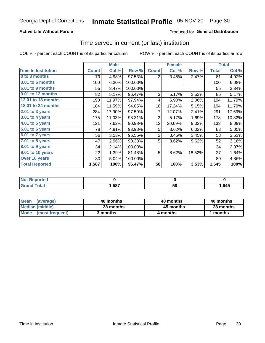## **Active Life Without Parole**

## **Produced for General Distribution**

## Time served in current (or last) institution

COL % - percent each COUNT is of its particular column

|                            |              | <b>Male</b> |         | <b>Female</b>   |        |        | <b>Total</b> |        |
|----------------------------|--------------|-------------|---------|-----------------|--------|--------|--------------|--------|
| <b>Time In Institution</b> | <b>Count</b> | Col %       | Row %   | <b>Count</b>    | Col %  | Row %  | <b>Total</b> | Col %  |
| 0 to 3 months              | 79           | 4.98%       | 97.53%  | 2               | 3.45%  | 2.47%  | 81           | 4.92%  |
| 3.01 to 6 months           | 100          | 6.30%       | 100.00% |                 |        |        | 100          | 6.08%  |
| 6.01 to 9 months           | 55           | 3.47%       | 100.00% |                 |        |        | 55           | 3.34%  |
| 9.01 to 12 months          | 82           | 5.17%       | 96.47%  | 3               | 5.17%  | 3.53%  | 85           | 5.17%  |
| <b>12.01 to 18 months</b>  | 190          | 11.97%      | 97.94%  | 4               | 6.90%  | 2.06%  | 194          | 11.79% |
| 18.01 to 24 months         | 184          | 11.59%      | 94.85%  | 10              | 17.24% | 5.15%  | 194          | 11.79% |
| $2.01$ to 3 years          | 284          | 17.90%      | 97.59%  | 7               | 12.07% | 2.41%  | 291          | 17.69% |
| 3.01 to 4 years            | 175          | 11.03%      | 98.31%  | 3               | 5.17%  | 1.69%  | 178          | 10.82% |
| 4.01 to 5 years            | 121          | 7.62%       | 90.98%  | 12 <sub>2</sub> | 20.69% | 9.02%  | 133          | 8.09%  |
| 5.01 to 6 years            | 78           | 4.91%       | 93.98%  | 5               | 8.62%  | 6.02%  | 83           | 5.05%  |
| 6.01 to 7 years            | 56           | 3.53%       | 96.55%  | $\overline{2}$  | 3.45%  | 3.45%  | 58           | 3.53%  |
| 7.01 to 8 years            | 47           | 2.96%       | 90.38%  | 5               | 8.62%  | 9.62%  | 52           | 3.16%  |
| 8.01 to 9 years            | 34           | 2.14%       | 100.00% |                 |        |        | 34           | 2.07%  |
| 9.01 to 10 years           | 22           | 1.39%       | 81.48%  | 5               | 8.62%  | 18.52% | 27           | 1.64%  |
| Over 10 years              | 80           | 5.04%       | 100.00% |                 |        |        | 80           | 4.86%  |
| <b>Total Reported</b>      | 1,587        | 100%        | 96.47%  | 58              | 100%   | 3.53%  | 1,645        | 100%   |

| Reported<br><b>Not</b> |      |    |      |
|------------------------|------|----|------|
| <i>i</i> otal          | ,587 | vu | ,645 |

| <b>Mean</b><br>(average) | 40 months | 48 months | 40 months |  |  |
|--------------------------|-----------|-----------|-----------|--|--|
| Median (middle)          | 28 months | 45 months | 28 months |  |  |
| Mode (most frequent)     | 3 months  | 4 months  | 1 months  |  |  |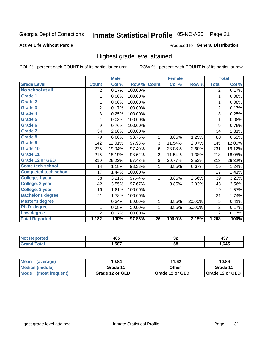## Inmate Statistical Profile 05-NOV-20 Page 31

### **Active Life Without Parole**

### Produced for General Distribution

## Highest grade level attained

COL % - percent each COUNT is of its particular column

|                              |                | <b>Male</b> |         |                 | <b>Female</b> |        |                | <b>Total</b> |
|------------------------------|----------------|-------------|---------|-----------------|---------------|--------|----------------|--------------|
| <b>Grade Level</b>           | <b>Count</b>   | Col %       | Row %   | <b>Count</b>    | Col %         | Row %  | <b>Total</b>   | Col %        |
| No school at all             | 2              | 0.17%       | 100.00% |                 |               |        | $\overline{2}$ | 0.17%        |
| <b>Grade 1</b>               | 1              | 0.08%       | 100.00% |                 |               |        | 1              | 0.08%        |
| <b>Grade 2</b>               | 1              | 0.08%       | 100.00% |                 |               |        | 1              | 0.08%        |
| <b>Grade 3</b>               | $\overline{2}$ | 0.17%       | 100.00% |                 |               |        | $\overline{2}$ | 0.17%        |
| Grade 4                      | 3              | 0.25%       | 100.00% |                 |               |        | 3              | 0.25%        |
| Grade 5                      | 1              | 0.08%       | 100.00% |                 |               |        | 1              | 0.08%        |
| Grade 6                      | 9              | 0.76%       | 100.00% |                 |               |        | 9              | 0.75%        |
| Grade 7                      | 34             | 2.88%       | 100.00% |                 |               |        | 34             | 2.81%        |
| <b>Grade 8</b>               | 79             | 6.68%       | 98.75%  | 1               | 3.85%         | 1.25%  | 80             | 6.62%        |
| Grade 9                      | 142            | 12.01%      | 97.93%  | 3               | 11.54%        | 2.07%  | 145            | 12.00%       |
| Grade 10                     | 225            | 19.04%      | 97.40%  | 6               | 23.08%        | 2.60%  | 231            | 19.12%       |
| Grade 11                     | 215            | 18.19%      | 98.62%  | 3               | 11.54%        | 1.38%  | 218            | 18.05%       |
| <b>Grade 12 or GED</b>       | 310            | 26.23%      | 97.48%  | 8               | 30.77%        | 2.52%  | 318            | 26.32%       |
| Some tech school             | 14             | 1.18%       | 93.33%  | 1               | 3.85%         | 6.67%  | 15             | 1.24%        |
| <b>Completed tech school</b> | 17             | 1.44%       | 100.00% |                 |               |        | 17             | 1.41%        |
| College, 1 year              | 38             | 3.21%       | 97.44%  | 1               | 3.85%         | 2.56%  | 39             | 3.23%        |
| College, 2 year              | 42             | 3.55%       | 97.67%  | 1               | 3.85%         | 2.33%  | 43             | 3.56%        |
| College, 3 year              | 19             | 1.61%       | 100.00% |                 |               |        | 19             | 1.57%        |
| <b>Bachelor's degree</b>     | 21             | 1.78%       | 100.00% |                 |               |        | 21             | 1.74%        |
| <b>Master's degree</b>       | 4              | 0.34%       | 80.00%  | 1               | 3.85%         | 20.00% | 5              | 0.41%        |
| Ph.D. degree                 | 1              | 0.08%       | 50.00%  | 1               | 3.85%         | 50.00% | $\overline{2}$ | 0.17%        |
| Law degree                   | $\overline{2}$ | 0.17%       | 100.00% |                 |               |        | $\overline{2}$ | 0.17%        |
| <b>Total Reported</b>        | 1,182          | 100%        | 97.85%  | $\overline{26}$ | 100.0%        | 2.15%  | 1,208          | 100%         |

| NG   | ANF  | ^^ | - - - |
|------|------|----|-------|
|      | TV~  | ◡▵ | ᠇୰    |
| υιαι | .587 | 58 | .645  |

| <b>Mean</b><br>(average) | 10.84           | 11.62           | 10.86           |  |
|--------------------------|-----------------|-----------------|-----------------|--|
| Median (middle)          | Grade 11        | Other           | Grade 11        |  |
| Mode<br>(most frequent)  | Grade 12 or GED | Grade 12 or GED | Grade 12 or GED |  |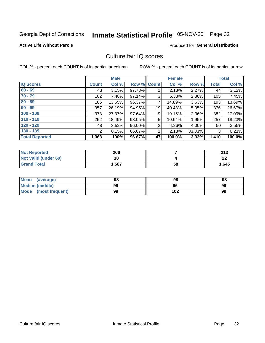## Inmate Statistical Profile 05-NOV-20 Page 32

### **Active Life Without Parole**

### **Produced for General Distribution**

## Culture fair IQ scores

COL % - percent each COUNT is of its particular column

|                       |              | <b>Male</b> |                    |                | <b>Female</b> |          |              | <b>Total</b> |
|-----------------------|--------------|-------------|--------------------|----------------|---------------|----------|--------------|--------------|
| <b>IQ Scores</b>      | <b>Count</b> | Col %       | <b>Row % Count</b> |                | Col %         | Row %    | <b>Total</b> | Col %        |
| $60 - 69$             | 43           | 3.15%       | 97.73%             |                | 2.13%         | $2.27\%$ | 44           | 3.12%        |
| $70 - 79$             | 102          | 7.48%       | 97.14%             | 3              | 6.38%         | 2.86%    | 105          | 7.45%        |
| $80 - 89$             | 186          | 13.65%      | 96.37%             | $\overline{7}$ | 14.89%        | 3.63%    | 193          | 13.69%       |
| $90 - 99$             | 357          | 26.19%      | 94.95%             | 19             | 40.43%        | $5.05\%$ | 376          | 26.67%       |
| $100 - 109$           | 373          | 27.37%      | 97.64%             | 9              | 19.15%        | 2.36%    | 382          | 27.09%       |
| $110 - 119$           | 252          | 18.49%      | 98.05%             | 5              | 10.64%        | 1.95%    | 257          | 18.23%       |
| $120 - 129$           | 48           | 3.52%       | 96.00%             | $\overline{2}$ | 4.26%         | $4.00\%$ | 50           | 3.55%        |
| $130 - 139$           | 2            | 0.15%       | 66.67%             | 1              | 2.13%         | 33.33%   | 3            | 0.21%        |
| <b>Total Reported</b> | 1,363        | 100%        | 96.67%             | 47             | 100.0%        | 3.33%    | 1,410        | 100.0%       |

| <b>Not Reported</b>  | 206  |    | 213     |
|----------------------|------|----|---------|
| Not Valid (under 60) | 18   |    | ົ<br>LL |
| <b>Grand Total</b>   | .587 | 58 | 1,645   |

| <b>Mean</b><br>(average) | 98 | 98  | 98 |
|--------------------------|----|-----|----|
| Median (middle)          | 99 | 96  | 99 |
| Mode (most frequent)     | 99 | 102 | 99 |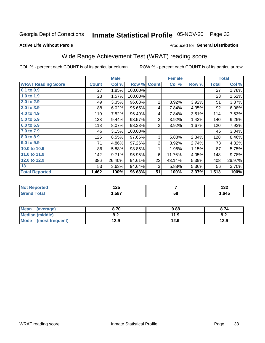## Inmate Statistical Profile 05-NOV-20 Page 33

### **Active Life Without Parole**

### Produced for General Distribution

## Wide Range Achievement Test (WRAT) reading score

COL % - percent each COUNT is of its particular column

|                           |              | <b>Male</b> |         |                | <b>Female</b> |       |              | <b>Total</b> |
|---------------------------|--------------|-------------|---------|----------------|---------------|-------|--------------|--------------|
| <b>WRAT Reading Score</b> | <b>Count</b> | Col %       | Row %   | <b>Count</b>   | Col %         | Row % | <b>Total</b> | Col %        |
| 0.1 to 0.9                | 27           | 1.85%       | 100.00% |                |               |       | 27           | 1.78%        |
| 1.0 to 1.9                | 23           | 1.57%       | 100.00% |                |               |       | 23           | 1.52%        |
| 2.0 to 2.9                | 49           | 3.35%       | 96.08%  | $\overline{2}$ | 3.92%         | 3.92% | 51           | 3.37%        |
| 3.0 to 3.9                | 88           | 6.02%       | 95.65%  | 4              | 7.84%         | 4.35% | 92           | 6.08%        |
| 4.0 to 4.9                | 110          | 7.52%       | 96.49%  | 4              | 7.84%         | 3.51% | 114          | 7.53%        |
| 5.0 to 5.9                | 138          | 9.44%       | 98.57%  | $\overline{2}$ | 3.92%         | 1.43% | 140          | 9.25%        |
| 6.0 to 6.9                | 118          | 8.07%       | 98.33%  | $\overline{2}$ | 3.92%         | 1.67% | 120          | 7.93%        |
| 7.0 to 7.9                | 46           | 3.15%       | 100.00% |                |               |       | 46           | 3.04%        |
| 8.0 to 8.9                | 125          | 8.55%       | 97.66%  | 3              | 5.88%         | 2.34% | 128          | 8.46%        |
| 9.0 to 9.9                | 71           | 4.86%       | 97.26%  | $\overline{2}$ | 3.92%         | 2.74% | 73           | 4.82%        |
| 10.0 to 10.9              | 86           | 5.88%       | 98.85%  | 1              | 1.96%         | 1.15% | 87           | 5.75%        |
| 11.0 to 11.9              | 142          | 9.71%       | 95.95%  | 6              | 11.76%        | 4.05% | 148          | 9.78%        |
| 12.0 to 12.9              | 386          | 26.40%      | 94.61%  | 22             | 43.14%        | 5.39% | 408          | 26.97%       |
| 13                        | 53           | 3.63%       | 94.64%  | 3              | 5.88%         | 5.36% | 56           | 3.70%        |
| <b>Total Reported</b>     | 1,462        | 100%        | 96.63%  | 51             | 100%          | 3.37% | 1,513        | 100%         |
|                           |              |             |         |                |               |       |              |              |

| <b>Not Reported</b>    | 1つに<br>12J |    | ,<br>1JZ |
|------------------------|------------|----|----------|
| <b>Total</b><br>'Grand | 1,587      | 58 | .645     |

| <b>Mean</b><br>(average)       | 8.70       | 9.88 | 8.74 |
|--------------------------------|------------|------|------|
| <b>Median (middle)</b>         | י ה<br>J.Z | 11.9 | 9.2  |
| <b>Mode</b><br>(most frequent) | 12.9       | 12.9 | 12.9 |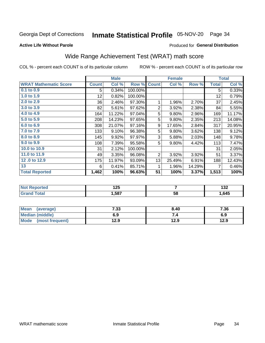## Inmate Statistical Profile 05-NOV-20 Page 34

**Active Life Without Parole** 

## Produced for General Distribution

## Wide Range Achievement Test (WRAT) math score

COL % - percent each COUNT is of its particular column

|                              |                 | <b>Male</b> |         | <b>Female</b>  |        |        | <b>Total</b> |        |
|------------------------------|-----------------|-------------|---------|----------------|--------|--------|--------------|--------|
| <b>WRAT Mathematic Score</b> | <b>Count</b>    | Col %       | Row %   | <b>Count</b>   | Col %  | Row %  | <b>Total</b> | Col %  |
| $0.1$ to $0.9$               | 5               | 0.34%       | 100.00% |                |        |        | 5            | 0.33%  |
| 1.0 to 1.9                   | 12 <sub>2</sub> | 0.82%       | 100.00% |                |        |        | 12           | 0.79%  |
| 2.0 to 2.9                   | 36              | 2.46%       | 97.30%  | 1              | 1.96%  | 2.70%  | 37           | 2.45%  |
| 3.0 to 3.9                   | 82              | 5.61%       | 97.62%  | $\overline{2}$ | 3.92%  | 2.38%  | 84           | 5.55%  |
| 4.0 to 4.9                   | 164             | 11.22%      | 97.04%  | 5              | 9.80%  | 2.96%  | 169          | 11.17% |
| 5.0 to 5.9                   | 208             | 14.23%      | 97.65%  | 5              | 9.80%  | 2.35%  | 213          | 14.08% |
| 6.0 to 6.9                   | 308             | 21.07%      | 97.16%  | 9              | 17.65% | 2.84%  | 317          | 20.95% |
| 7.0 to 7.9                   | 133             | 9.10%       | 96.38%  | 5              | 9.80%  | 3.62%  | 138          | 9.12%  |
| 8.0 to 8.9                   | 145             | 9.92%       | 97.97%  | 3              | 5.88%  | 2.03%  | 148          | 9.78%  |
| 9.0 to 9.9                   | 108             | 7.39%       | 95.58%  | 5              | 9.80%  | 4.42%  | 113          | 7.47%  |
| 10.0 to 10.9                 | 31              | 2.12%       | 100.00% |                |        |        | 31           | 2.05%  |
| 11.0 to 11.9                 | 49              | 3.35%       | 96.08%  | 2              | 3.92%  | 3.92%  | 51           | 3.37%  |
| 12.0 to 12.9                 | 175             | 11.97%      | 93.09%  | 13             | 25.49% | 6.91%  | 188          | 12.43% |
| 13                           | 6               | 0.41%       | 85.71%  | 1              | 1.96%  | 14.29% | 7            | 0.46%  |
| <b>Total Reported</b>        | 1,462           | 100%        | 96.63%  | 51             | 100%   | 3.37%  | 1,513        | 100%   |

| <b>Not Reported</b> | 1 つに<br>ن ع ا |    | י ה<br>1JZ. |
|---------------------|---------------|----|-------------|
| <b>Total</b>        | ,587          | 58 | ,645        |

| <b>Mean</b><br>(average)       | 7.33 | 8.40 | 7.36 |
|--------------------------------|------|------|------|
| Median (middle)                | 6.9  |      | 6.9  |
| <b>Mode</b><br>(most frequent) | 12.9 | 12.9 | 12.9 |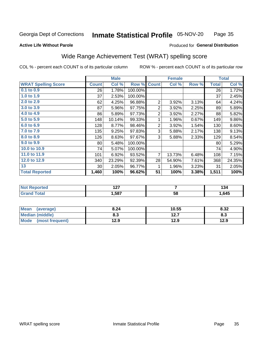#### Inmate Statistical Profile 05-NOV-20 Page 35

### **Active Life Without Parole**

### Produced for General Distribution

## Wide Range Achievement Test (WRAT) spelling score

COL % - percent each COUNT is of its particular column

|                            |                 | <b>Male</b>               |         |                 | <b>Female</b>   |       |              | <b>Total</b> |
|----------------------------|-----------------|---------------------------|---------|-----------------|-----------------|-------|--------------|--------------|
| <b>WRAT Spelling Score</b> | <b>Count</b>    | $\overline{\text{Col}}$ % | Row %   | <b>Count</b>    | Col %           | Row % | <b>Total</b> | Col %        |
| 0.1 to 0.9                 | 26              | 1.78%                     | 100.00% |                 |                 |       | 26           | 1.72%        |
| 1.0 to 1.9                 | 37              | 2.53%                     | 100.00% |                 |                 |       | 37           | 2.45%        |
| 2.0 to 2.9                 | 62              | 4.25%                     | 96.88%  | $\overline{2}$  | 3.92%           | 3.13% | 64           | 4.24%        |
| 3.0 to 3.9                 | 87              | 5.96%                     | 97.75%  | $\overline{2}$  | 3.92%           | 2.25% | 89           | 5.89%        |
| 4.0 to 4.9                 | 86              | 5.89%                     | 97.73%  | $\overline{2}$  | 3.92%           | 2.27% | 88           | 5.82%        |
| 5.0 to 5.9                 | 148             | 10.14%                    | 99.33%  | 1               | 1.96%           | 0.67% | 149          | 9.86%        |
| 6.0 to 6.9                 | 128             | 8.77%                     | 98.46%  | $\overline{2}$  | 3.92%           | 1.54% | 130          | 8.60%        |
| 7.0 to 7.9                 | 135             | 9.25%                     | 97.83%  | 3               | 5.88%           | 2.17% | 138          | 9.13%        |
| 8.0 to 8.9                 | 126             | 8.63%                     | 97.67%  | 3               | 5.88%           | 2.33% | 129          | 8.54%        |
| 9.0 to 9.9                 | 80              | 5.48%                     | 100.00% |                 |                 |       | 80           | 5.29%        |
| 10.0 to 10.9               | 74              | 5.07%                     | 100.00% |                 |                 |       | 74           | 4.90%        |
| 11.0 to 11.9               | 101             | 6.92%                     | 93.52%  | $\overline{7}$  | 13.73%          | 6.48% | 108          | 7.15%        |
| 12.0 to 12.9               | 340             | 23.29%                    | 92.39%  | 28              | 54.90%          | 7.61% | 368          | 24.35%       |
| 13                         | 30 <sup>°</sup> | 2.05%                     | 96.77%  | 1               | 1.96%           | 3.23% | 31           | 2.05%        |
| <b>Total Reported</b>      | 1,460           | 100%                      | 96.62%  | $\overline{51}$ | 100%            | 3.38% | 1,511        | 100%         |
|                            |                 |                           |         |                 |                 |       |              |              |
| <b>Not Reported</b>        |                 | 127                       |         |                 | $\overline{7}$  |       |              | 134          |
| <b>Grand Total</b>         |                 | 1,587                     |         |                 | $\overline{58}$ |       |              | 1,645        |

| <b>Mean</b><br>(average)       | 8.24 | 10.55     | 8.32 |
|--------------------------------|------|-----------|------|
| Median (middle)                | o.J  | 1つ フ<br>. | ი.ა  |
| <b>Mode</b><br>(most frequent) | 12.9 | 12.9      | 12.9 |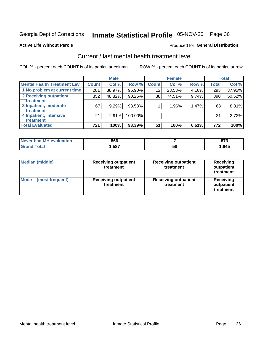## Inmate Statistical Profile 05-NOV-20 Page 36

### **Active Life Without Parole**

## **Produced for General Distribution**

## Current / last mental health treatment level

COL % - percent each COUNT is of its particular column

|                                    |              | <b>Male</b> |         |              | <b>Female</b> |       |       | <b>Total</b> |
|------------------------------------|--------------|-------------|---------|--------------|---------------|-------|-------|--------------|
| <b>Mental Health Treatment Lev</b> | <b>Count</b> | Col%        | Row %   | <b>Count</b> | Col %         | Row % | Total | Col %        |
| 1 No problem at current time       | 281          | 38.97%      | 95.90%  | 12           | 23.53%        | 4.10% | 293   | 37.95%       |
| 2 Receiving outpatient             | 352          | 48.82%      | 90.26%  | 38           | 74.51%        | 9.74% | 390   | 50.52%       |
| <b>Treatment</b>                   |              |             |         |              |               |       |       |              |
| 3 Inpatient, moderate              | 67           | 9.29%       | 98.53%  |              | 1.96%         | 1.47% | 68    | 8.81%        |
| Treatment                          |              |             |         |              |               |       |       |              |
| 4 Inpatient, intensive             | 21           | $2.91\%$    | 100.00% |              |               |       | 21    | 2.72%        |
| <b>Treatment</b>                   |              |             |         |              |               |       |       |              |
| <b>Total Evaluated</b>             | 721          | 100%        | 93.39%  | 51           | 100%          | 6.61% | 772   | 100%         |

| Never had MH evaluation | 866  |    | 0.7<br>. . |
|-------------------------|------|----|------------|
| Total                   | ,587 | 58 | .645       |

| <b>Median (middle)</b>         | <b>Receiving outpatient</b><br>treatment | <b>Receiving outpatient</b><br>treatment | <b>Receiving</b><br>outpatient<br>treatment |  |  |
|--------------------------------|------------------------------------------|------------------------------------------|---------------------------------------------|--|--|
| <b>Mode</b><br>(most frequent) | <b>Receiving outpatient</b><br>treatment | <b>Receiving outpatient</b><br>treatment | <b>Receiving</b><br>outpatient<br>treatment |  |  |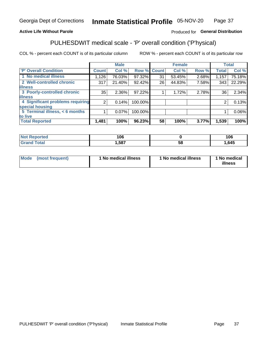#### Inmate Statistical Profile 05-NOV-20 Page 37

## **Active Life Without Parole**

## Produced for General Distribution

## PULHESDWIT medical scale - 'P' overall condition ('P'hysical)

COL % - percent each COUNT is of its particular column

|                                  |                | <b>Male</b> |             |    | <b>Female</b> |       |              | <b>Total</b> |
|----------------------------------|----------------|-------------|-------------|----|---------------|-------|--------------|--------------|
| 'P' Overall Condition            | <b>Count</b>   | Col %       | Row % Count |    | Col %         | Row % | <b>Total</b> | Col %        |
| 1 No medical illness             | 1,126          | 76.03%      | 97.32%      | 31 | 53.45%        | 2.68% | 1,157        | 75.18%       |
| 2 Well-controlled chronic        | 317            | 21.40%      | 92.42%      | 26 | 44.83%        | 7.58% | 343          | 22.29%       |
| <b>lillness</b>                  |                |             |             |    |               |       |              |              |
| 3 Poorly-controlled chronic      | 35             | $2.36\%$    | 97.22%      |    | 1.72%         | 2.78% | 36           | 2.34%        |
| <b>illness</b>                   |                |             |             |    |               |       |              |              |
| 4 Significant problems requiring | $\overline{2}$ | 0.14%       | 100.00%     |    |               |       | 2            | 0.13%        |
| special housing                  |                |             |             |    |               |       |              |              |
| 5 Terminal illness, < 6 months   |                | 0.07%       | 100.00%     |    |               |       |              | 0.06%        |
| to live                          |                |             |             |    |               |       |              |              |
| <b>Total Reported</b>            | 1,481          | 100%        | 96.23%      | 58 | 100%          | 3.77% | 1,539        | 100%         |

| orted<br>NΩ                    | 106   |    | 106  |
|--------------------------------|-------|----|------|
| $f \wedge f \wedge f'$<br>υιαι | 1,587 | ວດ | .645 |

|  |  | Mode (most frequent) | 1 No medical illness | 1 No medical illness | 1 No medical<br>illness |
|--|--|----------------------|----------------------|----------------------|-------------------------|
|--|--|----------------------|----------------------|----------------------|-------------------------|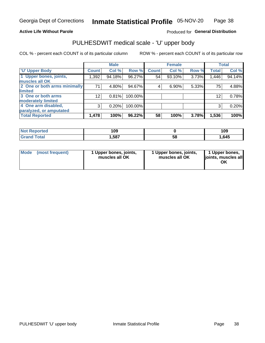## **Active Life Without Parole**

Produced for General Distribution

## PULHESDWIT medical scale - 'U' upper body

COL % - percent each COUNT is of its particular column

|                              |                 | <b>Male</b> |         |              | <b>Female</b> |       |              | <b>Total</b> |
|------------------------------|-----------------|-------------|---------|--------------|---------------|-------|--------------|--------------|
| <b>'U' Upper Body</b>        | <b>Count</b>    | Col %       | Row %   | <b>Count</b> | Col %         | Row % | <b>Total</b> | Col %        |
| 1 Upper bones, joints,       | 1,392           | 94.18%      | 96.27%  | 54           | 93.10%        | 3.73% | 1,446        | 94.14%       |
| muscles all OK               |                 |             |         |              |               |       |              |              |
| 2 One or both arms minimally | 71              | 4.80%       | 94.67%  | 4            | 6.90%         | 5.33% | 75           | 4.88%        |
| limited                      |                 |             |         |              |               |       |              |              |
| 3 One or both arms           | 12 <sub>1</sub> | 0.81%       | 100.00% |              |               |       | 12           | 0.78%        |
| moderately limited           |                 |             |         |              |               |       |              |              |
| 4 One arm disabled,          | 3               | 0.20%       | 100.00% |              |               |       | 3            | 0.20%        |
| paralyzed, or amputated      |                 |             |         |              |               |       |              |              |
| <b>Total Reported</b>        | 1,478           | 100%        | 96.22%  | 58           | 100%          | 3.78% | 1,536        | 100%         |

| <b>Not Reported</b> | 109  |    | 109  |  |  |
|---------------------|------|----|------|--|--|
| <b>Total</b>        | ,587 | 58 | .645 |  |  |

| Mode | (most frequent) | l Upper bones, joints,<br>muscles all OK | 1 Upper bones, joints,<br>muscles all OK | 1 Upper bones,<br>ljoints, muscles all<br>ОK |
|------|-----------------|------------------------------------------|------------------------------------------|----------------------------------------------|
|------|-----------------|------------------------------------------|------------------------------------------|----------------------------------------------|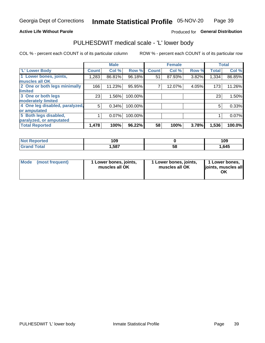### **Active Life Without Parole**

### Produced for General Distribution

## PULHESDWIT medical scale - 'L' lower body

COL % - percent each COUNT is of its particular column

|                                |              | <b>Male</b> |         |              | <b>Female</b> |       |              | <b>Total</b> |
|--------------------------------|--------------|-------------|---------|--------------|---------------|-------|--------------|--------------|
| 'L' Lower Body                 | <b>Count</b> | Col %       | Row %   | <b>Count</b> | Col %         | Row % | <b>Total</b> | Col %        |
| 1 Lower bones, joints,         | 1,283        | 86.81%      | 96.18%  | 51           | 87.93%        | 3.82% | 1,334        | 86.85%       |
| muscles all OK                 |              |             |         |              |               |       |              |              |
| 2 One or both legs minimally   | 166          | 11.23%      | 95.95%  |              | 12.07%        | 4.05% | 173          | 11.26%       |
| limited                        |              |             |         |              |               |       |              |              |
| 3 One or both legs             | 23           | 1.56%       | 100.00% |              |               |       | 23           | 1.50%        |
| moderately limited             |              |             |         |              |               |       |              |              |
| 4 One leg disabled, paralyzed, | 5            | 0.34%       | 100.00% |              |               |       | 5            | 0.33%        |
| or amputated                   |              |             |         |              |               |       |              |              |
| 5 Both legs disabled,          |              | 0.07%       | 100.00% |              |               |       |              | 0.07%        |
| paralyzed, or amputated        |              |             |         |              |               |       |              |              |
| <b>Total Reported</b>          | 1,478        | 100%        | 96.22%  | 58           | 100%          | 3.78% | 1,536        | 100.0%       |

| <b>Not Reported</b> | 109  |    | 109  |
|---------------------|------|----|------|
| <b>Grand Total</b>  | ,587 | ວັ | .645 |

| Mode | (most frequent) | 1 Lower bones, joints,<br>muscles all OK | 1 Lower bones, joints,<br>muscles all OK | 1 Lower bones,<br>joints, muscles all<br>ΟK |
|------|-----------------|------------------------------------------|------------------------------------------|---------------------------------------------|
|------|-----------------|------------------------------------------|------------------------------------------|---------------------------------------------|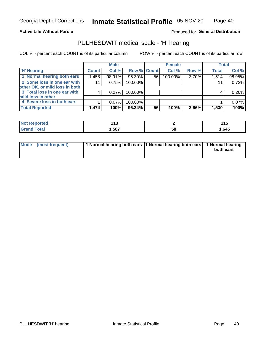### **Active Life Without Parole**

Produced for General Distribution

## PULHESDWIT medical scale - 'H' hearing

COL % - percent each COUNT is of its particular column

|                                |              | <b>Male</b> |                    |    | <b>Female</b> |       | <b>Total</b> |        |
|--------------------------------|--------------|-------------|--------------------|----|---------------|-------|--------------|--------|
| <b>H' Hearing</b>              | <b>Count</b> | Col %       | <b>Row % Count</b> |    | Col %         | Row % | <b>Total</b> | Col %  |
| 1 Normal hearing both ears     | 1,458        | 98.91%      | 96.30%             | 56 | 100.00%       | 3.70% | 1,514        | 98.95% |
| 2 Some loss in one ear with    | 11           | 0.75%       | 100.00%            |    |               |       | 11           | 0.72%  |
| other OK, or mild loss in both |              |             |                    |    |               |       |              |        |
| 3 Total loss in one ear with   | 4            | 0.27%       | 100.00%            |    |               |       | 4            | 0.26%  |
| mild loss in other             |              |             |                    |    |               |       |              |        |
| 4 Severe loss in both ears     |              | $0.07\%$    | 100.00%            |    |               |       |              | 0.07%  |
| <b>Total Reported</b>          | 1,474        | 100%        | 96.34%             | 56 | 100%          | 3.66% | 1,530        | 100%   |

| 'N<br>тео | . .<br>טוו |    | .     |
|-----------|------------|----|-------|
| _____     | 1587       | აა | 1,645 |

| Mode (most frequent) | 1 Normal hearing both ears 1 Normal hearing both ears 1 Normal hearing | both ears |
|----------------------|------------------------------------------------------------------------|-----------|
|                      |                                                                        |           |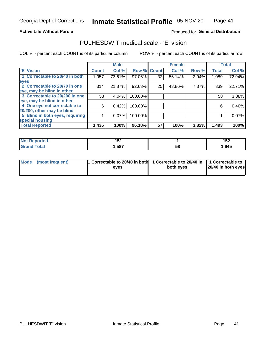### **Active Life Without Parole**

## Produced for General Distribution

## PULHESDWIT medical scale - 'E' vision

COL % - percent each COUNT is of its particular column

|                                 |              | <b>Male</b> |         |              | <b>Female</b> |       |              | <b>Total</b> |
|---------------------------------|--------------|-------------|---------|--------------|---------------|-------|--------------|--------------|
| <b>E' Vision</b>                | <b>Count</b> | Col %       | Row %   | <b>Count</b> | Col %         | Row % | <b>Total</b> | Col %        |
| 1 Correctable to 20/40 in both  | 1,057        | 73.61%      | 97.06%  | 32           | 56.14%        | 2.94% | 1,089        | 72.94%       |
| eyes                            |              |             |         |              |               |       |              |              |
| 2 Correctable to 20/70 in one   | 314          | 21.87%      | 92.63%  | 25           | 43.86%        | 7.37% | 339          | 22.71%       |
| eye, may be blind in other      |              |             |         |              |               |       |              |              |
| 3 Correctable to 20/200 in one  | 58           | 4.04%       | 100.00% |              |               |       | 58           | 3.88%        |
| eye, may be blind in other      |              |             |         |              |               |       |              |              |
| 4 One eye not correctable to    | 6            | 0.42%       | 100.00% |              |               |       | 6            | 0.40%        |
| 20/200, other may be blind      |              |             |         |              |               |       |              |              |
| 5 Blind in both eyes, requiring |              | 0.07%       | 100.00% |              |               |       |              | 0.07%        |
| special housing                 |              |             |         |              |               |       |              |              |
| <b>Total Reported</b>           | 1,436        | 100%        | 96.18%  | 57           | 100%          | 3.82% | 1,493        | 100%         |

| rteo<br>w | <b>454</b><br>J<br>___ |    | .<br>า ๒<br>IJŁ |
|-----------|------------------------|----|-----------------|
|           | ,587                   | ၁၀ | ,645            |

| Mode (most frequent) | 1 Correctable to 20/40 in both<br>eves | 1 Correctable to 20/40 in   1 Correctable to  <br>both eves | 20/40 in both eyes |
|----------------------|----------------------------------------|-------------------------------------------------------------|--------------------|
|                      |                                        |                                                             |                    |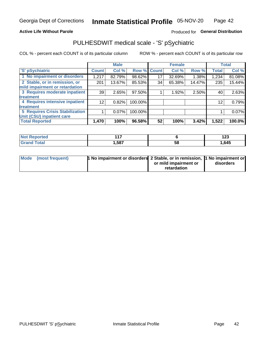### **Active Life Without Parole**

## Produced for General Distribution

## PULHESDWIT medical scale - 'S' pSychiatric

COL % - percent each COUNT is of its particular column

|                                 |              | <b>Male</b> |         |             | <b>Female</b> |        |              | <b>Total</b> |
|---------------------------------|--------------|-------------|---------|-------------|---------------|--------|--------------|--------------|
| 'S' pSychiatric                 | <b>Count</b> | Col %       |         | Row % Count | Col %         | Row %  | <b>Total</b> | Col %        |
| 1 No impairment or disorders    | 1,217        | 82.79%      | 98.62%  | 17          | 32.69%        | 1.38%  | 1,234        | 81.08%       |
| 2 Stable, or in remission, or   | 201          | 13.67%      | 85.53%  | 34          | 65.38%        | 14.47% | 235          | 15.44%       |
| mild impairment or retardation  |              |             |         |             |               |        |              |              |
| 3 Requires moderate inpatient   | 39           | 2.65%       | 97.50%  |             | 1.92%         | 2.50%  | 40           | 2.63%        |
| <b>treatment</b>                |              |             |         |             |               |        |              |              |
| 4 Requires intensive inpatient  | 12           | 0.82%       | 100.00% |             |               |        | 12           | 0.79%        |
| <b>treatment</b>                |              |             |         |             |               |        |              |              |
| 5 Requires Crisis Stabilization |              | 0.07%       | 100.00% |             |               |        |              | 0.07%        |
| Unit (CSU) inpatient care       |              |             |         |             |               |        |              |              |
| <b>Total Reported</b>           | 1,470        | 100%        | 96.58%  | 52          | 100%          | 3.42%  | 1,522        | 100.0%       |

| 'Not Reported | 4 4 7 |    | 10C<br>14J |
|---------------|-------|----|------------|
| <b>Total</b>  | 587,  | ວະ | 1,645      |

| Mode | (most frequent) | <b>1 No impairment or disorders</b> 2 Stable, or in remission, 1 No impairment or |                       |           |
|------|-----------------|-----------------------------------------------------------------------------------|-----------------------|-----------|
|      |                 |                                                                                   | or mild impairment or | disorders |
|      |                 |                                                                                   | retardation           |           |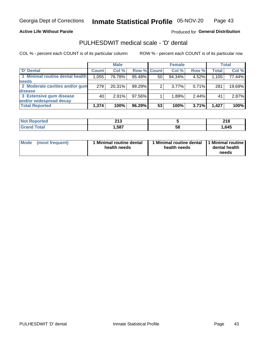### **Active Life Without Parole**

Produced for General Distribution

## PULHESDWIT medical scale - 'D' dental

COL % - percent each COUNT is of its particular column

|                                 |              | <b>Male</b> |           |                    | <b>Female</b> |       |              | <b>Total</b> |
|---------------------------------|--------------|-------------|-----------|--------------------|---------------|-------|--------------|--------------|
| 'D' Dental                      | <b>Count</b> | Col %       |           | <b>Row % Count</b> | Col %         | Row % | <b>Total</b> | Col %        |
| 1 Minimal routine dental health | 1,055        | 76.78%      | 95.48%    | 50                 | 94.34%        | 4.52% | 1,105        | 77.44%       |
| <b>needs</b>                    |              |             |           |                    |               |       |              |              |
| 2 Moderate cavities and/or gum  | 279          | 20.31%      | 99.29%    | 2                  | $3.77\%$      | 0.71% | 281          | 19.69%       |
| disease                         |              |             |           |                    |               |       |              |              |
| 3 Extensive gum disease         | 40           | 2.91%       | 97.56%    |                    | 1.89%         | 2.44% | 41           | 2.87%        |
| and/or widespread decay         |              |             |           |                    |               |       |              |              |
| <b>Total Reported</b>           | 1,374        | 100%        | $96.29\%$ | 53                 | 100%          | 3.71% | 1.427        | 100%         |

| prtea<br>NOT E<br> | 24c<br>2 I J |    | 240<br>ZIO. |
|--------------------|--------------|----|-------------|
| <b>ota</b>         | ,587         | 58 | .645        |

| <b>Mode</b>     | Minimal routine dental | 1 Minimal routine dental 1 Minimal routine | dental health |
|-----------------|------------------------|--------------------------------------------|---------------|
| (most frequent) | health needs           | health needs                               | needs         |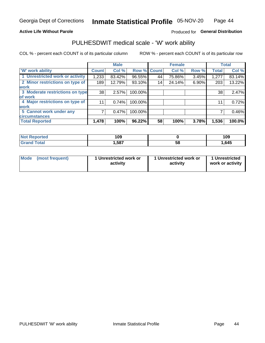### **Active Life Without Parole**

## Produced for General Distribution

## PULHESDWIT medical scale - 'W' work ability

COL % - percent each COUNT is of its particular column

|                                 |                    | <b>Male</b> |         |             | <b>Female</b> |       |              | <b>Total</b> |
|---------------------------------|--------------------|-------------|---------|-------------|---------------|-------|--------------|--------------|
| <b>W' work ability</b>          | Count <sup>'</sup> | Col %       |         | Row % Count | Col %         | Row % | <b>Total</b> | Col %        |
| 1 Unrestricted work or activity | 1,233              | 83.42%      | 96.55%  | 44          | 75.86%        | 3.45% | 1,277        | 83.14%       |
| 2 Minor restrictions on type of | 189                | 12.79%      | 93.10%  | 14          | 24.14%        | 6.90% | 203          | 13.22%       |
| <b>work</b>                     |                    |             |         |             |               |       |              |              |
| 3 Moderate restrictions on type | 38                 | 2.57%       | 100.00% |             |               |       | 38           | 2.47%        |
| lof work                        |                    |             |         |             |               |       |              |              |
| 4 Major restrictions on type of | 11                 | 0.74%       | 100.00% |             |               |       | 11           | 0.72%        |
| <b>work</b>                     |                    |             |         |             |               |       |              |              |
| 5 Cannot work under any         |                    | 0.47%       | 100.00% |             |               |       |              | 0.46%        |
| <b>circumstances</b>            |                    |             |         |             |               |       |              |              |
| <b>Total Reported</b>           | 1,478              | 100%        | 96.22%  | 58          | 100%          | 3.78% | 1,536        | 100.0%       |

| <b>Not Reported</b> | 109  |   | 109  |
|---------------------|------|---|------|
| <b>Total</b>        | ,587 | ວ | ,645 |

| Mode (most frequent) | 1 Unrestricted work or | 1 Unrestricted work or | 1 Unrestricted   |
|----------------------|------------------------|------------------------|------------------|
|                      | activity               | activity               | work or activity |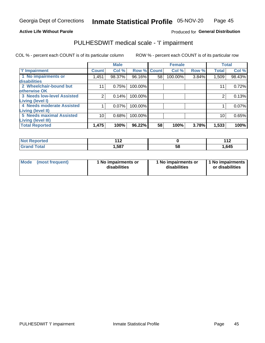### **Active Life Without Parole**

Produced for General Distribution

## PULHESDWIT medical scale - 'I' impairment

|                                   |              | <b>Male</b> |                    |    | <b>Female</b> |       |              | <b>Total</b> |
|-----------------------------------|--------------|-------------|--------------------|----|---------------|-------|--------------|--------------|
| <b>T' Impairment</b>              | <b>Count</b> | Col %       | <b>Row % Count</b> |    | Col %         | Row % | <b>Total</b> | Col %        |
| 1 No impairments or               | 1,451        | 98.37%      | 96.16%             | 58 | 100.00%       | 3.84% | 1,509        | 98.43%       |
| disabilities                      |              |             |                    |    |               |       |              |              |
| 2 Wheelchair-bound but            | 11           | 0.75%       | 100.00%            |    |               |       | 11           | 0.72%        |
| otherwise OK                      |              |             |                    |    |               |       |              |              |
| <b>3 Needs low-level Assisted</b> | 2            | 0.14%       | 100.00%            |    |               |       |              | 0.13%        |
| Living (level I)                  |              |             |                    |    |               |       |              |              |
| 4 Needs moderate Assisted         |              | 0.07%       | 100.00%            |    |               |       |              | 0.07%        |
| Living (level II)                 |              |             |                    |    |               |       |              |              |
| <b>5 Needs maximal Assisted</b>   | 10           | 0.68%       | 100.00%            |    |               |       | 10           | 0.65%        |
| <b>Living (level III)</b>         |              |             |                    |    |               |       |              |              |
| <b>Total Reported</b>             | 1,475        | 100%        | 96.22%             | 58 | 100%          | 3.78% | 1,533        | 100%         |

| าrted       | 44 C<br>. . |    | 44 <sup>c</sup><br><u>.</u> |
|-------------|-------------|----|-----------------------------|
| <b>otal</b> | 1,587       | ၁၀ | 1,645                       |

| Mode | (most frequent) | 1 No impairments or<br>disabilities | 1 No impairments or<br>disabilities | 1 No impairments<br>or disabilities |
|------|-----------------|-------------------------------------|-------------------------------------|-------------------------------------|
|------|-----------------|-------------------------------------|-------------------------------------|-------------------------------------|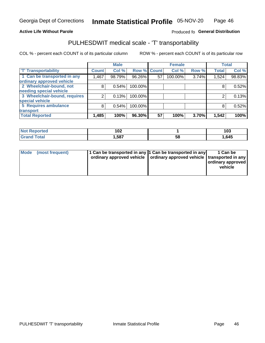### **Active Life Without Parole**

## Produced fo General Distribution

## PULHESDWIT medical scale - 'T' transportability

COL % - percent each COUNT is of its particular column

|                                                    |              | <b>Male</b> |                    |    | <b>Female</b> |       |              | <b>Total</b> |
|----------------------------------------------------|--------------|-------------|--------------------|----|---------------|-------|--------------|--------------|
| <b>T' Transportability</b>                         | <b>Count</b> | Col %       | <b>Row % Count</b> |    | Col %         | Row % | <b>Total</b> | Col %        |
| 1 Can be transported in any                        | ,467         | 98.79%      | 96.26%             | 57 | 100.00%       | 3.74% | 1,524        | 98.83%       |
| ordinary approved vehicle                          |              |             |                    |    |               |       |              |              |
| 2 Wheelchair-bound, not<br>needing special vehicle | 8            | 0.54%       | 100.00%            |    |               |       |              | 0.52%        |
|                                                    |              |             |                    |    |               |       |              |              |
| 3 Wheelchair-bound, requires                       |              | 0.13%       | 100.00%            |    |               |       |              | 0.13%        |
| special vehicle                                    |              |             |                    |    |               |       |              |              |
| 5 Requires ambulance                               | 8            | 0.54%       | 100.00%            |    |               |       |              | 0.52%        |
| transport                                          |              |             |                    |    |               |       |              |              |
| <b>Total Reported</b>                              | 1,485        | 100%        | 96.30%             | 57 | 100%          | 3.70% | 1,542        | 100%         |

| วrted | 10 <sup>o</sup><br>I VZ |    | 103   |
|-------|-------------------------|----|-------|
| `otal | .587                    | Ⴢჾ | . 645 |

| <b>Mode</b> | (most frequent) | 1 Can be transported in any 1 Can be transported in any | ordinary approved vehicle   ordinary approved vehicle   transported in any | 1 Can be<br>  ordinary approved  <br>vehicle |
|-------------|-----------------|---------------------------------------------------------|----------------------------------------------------------------------------|----------------------------------------------|
|-------------|-----------------|---------------------------------------------------------|----------------------------------------------------------------------------|----------------------------------------------|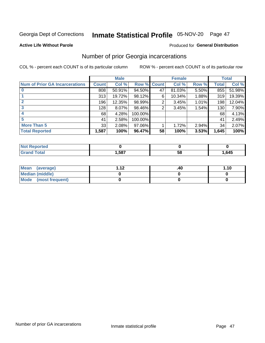## Inmate Statistical Profile 05-NOV-20 Page 47

### **Active Life Without Parole**

### Produced for General Distribution

## Number of prior Georgia incarcerations

COL % - percent each COUNT is of its particular column

|                                       |              | <b>Male</b> |                    |    | <b>Female</b> |       |       | <b>Total</b> |
|---------------------------------------|--------------|-------------|--------------------|----|---------------|-------|-------|--------------|
| <b>Num of Prior GA Incarcerations</b> | <b>Count</b> | Col %       | <b>Row % Count</b> |    | Col %         | Row % | Total | Col %        |
|                                       | 808          | 50.91%      | 94.50%             | 47 | 81.03%        | 5.50% | 855   | 51.98%       |
|                                       | 313          | 19.72%      | 98.12%             | 6  | 10.34%        | 1.88% | 319   | 19.39%       |
|                                       | 196          | 12.35%      | 98.99%             | 2  | 3.45%         | 1.01% | 198   | 12.04%       |
| 3                                     | 128          | 8.07%       | 98.46%             | 2  | 3.45%         | 1.54% | 130   | 7.90%        |
| 4                                     | 68           | 4.28%       | 100.00%            |    |               |       | 68    | 4.13%        |
| 5                                     | 41           | 2.58%       | 100.00%            |    |               |       | 41    | 2.49%        |
| <b>More Than 5</b>                    | 33           | 2.08%       | 97.06%             |    | 1.72%         | 2.94% | 34    | 2.07%        |
| <b>Total Reported</b>                 | 1,587        | 100%        | 96.47%             | 58 | 100%          | 3.53% | 1,645 | 100%         |

| <b>orted</b><br><b>NI</b>       |     |            |       |
|---------------------------------|-----|------------|-------|
| <b>otal</b><br>$\mathbf{v}$ and | 587 | - 12<br>JL | 1,645 |

| Mean (average)       | 1 1 J | .40 | 1.10 |
|----------------------|-------|-----|------|
| Median (middle)      |       |     |      |
| Mode (most frequent) |       |     |      |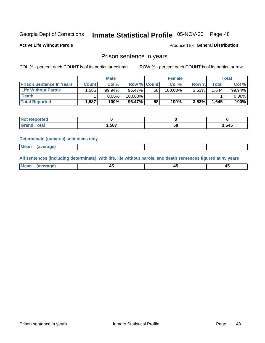## Inmate Statistical Profile 05-NOV-20 Page 48

**Active Life Without Parole** 

**Produced for General Distribution** 

## Prison sentence in years

COL % - percent each COUNT is of its particular column

ROW % - percent each COUNT is of its particular row

|                                 | <b>Male</b> |        |                    | <b>Female</b> |         |          | Total |          |
|---------------------------------|-------------|--------|--------------------|---------------|---------|----------|-------|----------|
| <b>Prison Sentence In Years</b> | Count l     | Col %  | <b>Row % Count</b> |               | Col %   | Row %    | Total | Col %    |
| <b>Life Without Parole</b>      | :586,       | 99.94% | 96.47%             | 58            | 100.00% | $3.53\%$ | 1.644 | 99.94%   |
| <b>Death</b>                    |             | 0.06%  | 100.00%            |               |         |          |       | $0.06\%$ |
| <b>Total Reported</b>           | 1.587       | 100%   | 96.47%             | 58            | 100%    | $3.53\%$ | 1,645 | 100%     |

| τeα |       |    |      |
|-----|-------|----|------|
|     | 1,587 | ວດ | ,645 |

### **Determinate (numeric) sentences only**

| ' Mea<br><b>Service</b> A<br>ЯМА. |  |  |  |
|-----------------------------------|--|--|--|
|                                   |  |  |  |

All sentences (including determinate), with life, life without parole, and death sentences figured at 45 years

| l Mea<br>חר<br> | ᠇៶<br>$\sim$ | $\sim$ | ╌ |
|-----------------|--------------|--------|---|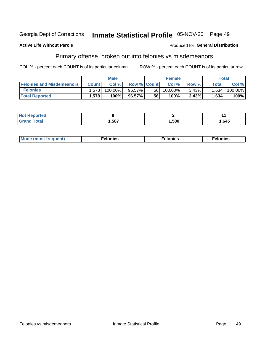#### Georgia Dept of Corrections Inmate Statistical Profile 05-NOV-20 Page 49

### **Active Life Without Parole**

### **Produced for General Distribution**

## Primary offense, broken out into felonies vs misdemeanors

COL % - percent each COUNT is of its particular column

|                                  | <b>Male</b>  |         |                    | <b>Female</b> |         |          | Total        |         |
|----------------------------------|--------------|---------|--------------------|---------------|---------|----------|--------------|---------|
| <b>Felonies and Misdemeanors</b> | <b>Count</b> | Col $%$ | <b>Row % Count</b> |               | Col%    | Row %    | <b>Total</b> | Col %   |
| <b>Felonies</b>                  | .578         | 100.00% | 96.57%             | 56            | 100.00% | $3.43\%$ | 1,634        | 100.00% |
| <b>Total Reported</b>            | .578         | 100%    | 96.57%             | 56            | 100%    | 3.43%    | 1,634        | 100%    |

| <b>Not Reported</b>          |      |      |       |
|------------------------------|------|------|-------|
| <b>Total</b><br><b>Grand</b> | ,587 | ,580 | .645، |

| $Mc$<br>equent)<br>нез<br>$\sim$<br>. | onies<br>. | <b>onies</b><br>. |
|---------------------------------------|------------|-------------------|
|---------------------------------------|------------|-------------------|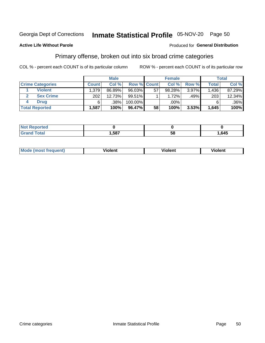## Inmate Statistical Profile 05-NOV-20 Page 50

### **Active Life Without Parole**

### Produced for General Distribution

## Primary offense, broken out into six broad crime categories

COL % - percent each COUNT is of its particular column

|                         | <b>Male</b>  |        |             | <b>Female</b> |        |       | Total        |        |
|-------------------------|--------------|--------|-------------|---------------|--------|-------|--------------|--------|
| <b>Crime Categories</b> | <b>Count</b> | Col%   | Row % Count |               | Col%   | Row % | <b>Total</b> | Col %  |
| <b>Violent</b>          | 1,379        | 86.89% | 96.03%      | 57            | 98.28% | 3.97% | 1,436        | 87.29% |
| <b>Sex Crime</b>        | 202          | 12.73% | $99.51\%$   |               | 1.72%  | .49%  | 203          | 12.34% |
| <b>Drug</b>             | 6            | .38%   | 100.00%     |               | .00%   |       | 6            | .36%   |
| <b>Total Reported</b>   | 1,587        | 100%   | 96.47%      | 58            | 100%   | 3.53% | 1,645        | 100%   |

| ,587 | 58 | ,645 |
|------|----|------|

| Mode (most f | .       | /iolent | .     |
|--------------|---------|---------|-------|
| 'requent)    | Violent |         | olent |
|              |         |         |       |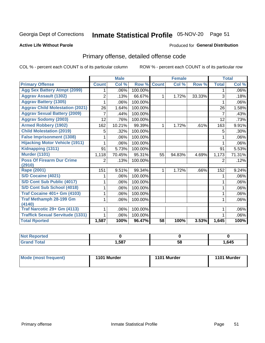## Inmate Statistical Profile 05-NOV-20 Page 51

### **Active Life Without Parole**

### Produced for General Distribution

## Primary offense, detailed offense code

COL % - percent each COUNT is of its particular column

|                                         |                | <b>Male</b> |         |              | <b>Female</b> |        |                | <b>Total</b> |
|-----------------------------------------|----------------|-------------|---------|--------------|---------------|--------|----------------|--------------|
| <b>Primary Offense</b>                  | <b>Count</b>   | Col %       | Row %   | <b>Count</b> | Col %         | Row %  | <b>Total</b>   | Col %        |
| <b>Agg Sex Battery Atmpt (2099)</b>     | 1              | .06%        | 100.00% |              |               |        | 1              | $.06\%$      |
| <b>Aggrav Assault (1302)</b>            | 2              | .13%        | 66.67%  | $\mathbf 1$  | 1.72%         | 33.33% | 3              | .18%         |
| <b>Aggrav Battery (1305)</b>            |                | .06%        | 100.00% |              |               |        |                | $.06\%$      |
| <b>Aggrav Child Molestation (2021)</b>  | 26             | 1.64%       | 100.00% |              |               |        | 26             | 1.58%        |
| <b>Aggrav Sexual Battery (2009)</b>     | 7              | .44%        | 100.00% |              |               |        | 7              | .43%         |
| <b>Aggrav Sodomy (2003)</b>             | 12             | .76%        | 100.00% |              |               |        | 12             | .73%         |
| <b>Armed Robbery (1902)</b>             | 162            | 10.21%      | 99.39%  | 1.           | 1.72%         | .61%   | 163            | 9.91%        |
| <b>Child Molestation (2019)</b>         | 5              | .32%        | 100.00% |              |               |        | 5              | .30%         |
| <b>False Imprisonment (1308)</b>        |                | .06%        | 100.00% |              |               |        | 1              | .06%         |
| <b>Hijacking Motor Vehicle (1911)</b>   |                | .06%        | 100.00% |              |               |        |                | .06%         |
| Kidnapping (1311)                       | 91             | 5.73%       | 100.00% |              |               |        | 91             | 5.53%        |
| <b>Murder (1101)</b>                    | 1,118          | 70.45%      | 95.31%  | 55           | 94.83%        | 4.69%  | 1,173          | 71.31%       |
| <b>Poss Of Firearm Dur Crime</b>        | $\overline{2}$ | .13%        | 100.00% |              |               |        | $\overline{2}$ | .12%         |
| (2910)                                  |                |             |         |              |               |        |                |              |
| Rape (2001)                             | 151            | 9.51%       | 99.34%  | 1.           | 1.72%         | .66%   | 152            | 9.24%        |
| S/D Cocaine (4021)                      |                | .06%        | 100.00% |              |               |        | 1              | .06%         |
| S/D Cont Sub Public (4017)              |                | .06%        | 100.00% |              |               |        |                | $.06\%$      |
| S/D Cont Sub School (4018)              | 1              | .06%        | 100.00% |              |               |        | 1              | $.06\%$      |
| <b>Traf Cocaine 401+ Gm (4103)</b>      |                | .06%        | 100.00% |              |               |        | 1              | $.06\%$      |
| <b>Traf Methamph 28-199 Gm</b>          | 1              | .06%        | 100.00% |              |               |        | 1              | $.06\%$      |
| (4140)                                  |                |             |         |              |               |        |                |              |
| Traf Narcotic 29+ Gm (4113)             |                | .06%        | 100.00% |              |               |        |                | .06%         |
| <b>Traffick Sexual Servitude (1331)</b> | 1.             | .06%        | 100.00% |              |               |        |                | .06%         |
| <b>Total Rported</b>                    | 1,587          | 100%        | 96.47%  | 58           | 100%          | 3.53%  | 1,645          | 100%         |

| <b>Not</b><br><b>orted</b><br>₹еос |      |          |      |
|------------------------------------|------|----------|------|
| <b>Total</b>                       | ,587 | --<br>58 | .645 |

| Mode (most frequent) | 1101 Murder | 1101 Murder | 1101 Murder |
|----------------------|-------------|-------------|-------------|
|----------------------|-------------|-------------|-------------|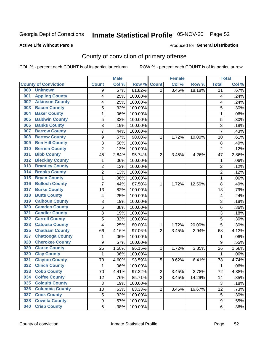## Inmate Statistical Profile 05-NOV-20 Page 52

### **Active Life Without Parole**

### Produced for General Distribution

## County of conviction of primary offense

COL % - percent each COUNT is of its particular column

|                                |                  | <b>Male</b> |         |                | <b>Female</b> |        |                | <b>Total</b> |
|--------------------------------|------------------|-------------|---------|----------------|---------------|--------|----------------|--------------|
| <b>County of Conviction</b>    | <b>Count</b>     | Col %       | Row %   | <b>Count</b>   | Col %         | Row %  | <b>Total</b>   | Col %        |
| 000<br><b>Unknown</b>          | 9                | .57%        | 81.82%  | $\overline{2}$ | 3.45%         | 18.18% | 11             | .67%         |
| <b>Appling County</b><br>001   | 4                | .25%        | 100.00% |                |               |        | 4              | .24%         |
| <b>Atkinson County</b><br>002  | 4                | .25%        | 100.00% |                |               |        | 4              | .24%         |
| <b>Bacon County</b><br>003     | 5                | .32%        | 100.00% |                |               |        | 5              | .30%         |
| <b>Baker County</b><br>004     | 1                | .06%        | 100.00% |                |               |        | 1              | .06%         |
| <b>Baldwin County</b><br>005   | 5                | .32%        | 100.00% |                |               |        | 5              | .30%         |
| <b>Banks County</b><br>006     | 3                | .19%        | 100.00% |                |               |        | 3              | .18%         |
| <b>Barrow County</b><br>007    | $\overline{7}$   | .44%        | 100.00% |                |               |        | $\overline{7}$ | .43%         |
| <b>Bartow County</b><br>008    | $\boldsymbol{9}$ | .57%        | 90.00%  | 1              | 1.72%         | 10.00% | 10             | .61%         |
| <b>Ben Hill County</b><br>009  | 8                | .50%        | 100.00% |                |               |        | 8              | .49%         |
| <b>Berrien County</b><br>010   | $\overline{c}$   | .13%        | 100.00% |                |               |        | $\overline{2}$ | .12%         |
| <b>Bibb County</b><br>011      | 45               | 2.84%       | 95.74%  | $\overline{2}$ | 3.45%         | 4.26%  | 47             | 2.86%        |
| <b>Bleckley County</b><br>012  | 1                | .06%        | 100.00% |                |               |        | 1              | .06%         |
| <b>Brantley County</b><br>013  | $\overline{2}$   | .13%        | 100.00% |                |               |        | $\overline{2}$ | .12%         |
| <b>Brooks County</b><br>014    | $\overline{2}$   | .13%        | 100.00% |                |               |        | $\overline{2}$ | .12%         |
| <b>Bryan County</b><br>015     | $\mathbf{1}$     | .06%        | 100.00% |                |               |        | $\mathbf{1}$   | .06%         |
| <b>Bulloch County</b><br>016   | $\overline{7}$   | .44%        | 87.50%  | 1              | 1.72%         | 12.50% | 8              | .49%         |
| <b>Burke County</b><br>017     | 13               | .82%        | 100.00% |                |               |        | 13             | .79%         |
| <b>Butts County</b><br>018     | 4                | .25%        | 100.00% |                |               |        | 4              | .24%         |
| <b>Calhoun County</b><br>019   | $\mathbf{3}$     | .19%        | 100.00% |                |               |        | $\sqrt{3}$     | .18%         |
| <b>Camden County</b><br>020    | 6                | .38%        | 100.00% |                |               |        | 6              | .36%         |
| <b>Candler County</b><br>021   | 3                | .19%        | 100.00% |                |               |        | 3              | .18%         |
| <b>Carroll County</b><br>022   | 5                | .32%        | 100.00% |                |               |        | 5              | .30%         |
| <b>Catoosa County</b><br>023   | 4                | .25%        | 80.00%  | 1              | 1.72%         | 20.00% | 5              | .30%         |
| <b>Chatham County</b><br>025   | 66               | 4.16%       | 97.06%  | $\overline{2}$ | 3.45%         | 2.94%  | 68             | 4.13%        |
| <b>Chattooga County</b><br>027 | 1                | .06%        | 100.00% |                |               |        | 1              | .06%         |
| <b>Cherokee County</b><br>028  | $\boldsymbol{9}$ | .57%        | 100.00% |                |               |        | 9              | .55%         |
| <b>Clarke County</b><br>029    | 25               | 1.58%       | 96.15%  | 1              | 1.72%         | 3.85%  | 26             | 1.58%        |
| <b>Clay County</b><br>030      | $\mathbf{1}$     | .06%        | 100.00% |                |               |        | $\mathbf{1}$   | .06%         |
| <b>Clayton County</b><br>031   | 73               | 4.60%       | 93.59%  | 5              | 8.62%         | 6.41%  | 78             | 4.74%        |
| <b>Clinch County</b><br>032    | 1                | .06%        | 100.00% |                |               |        | 1              | .06%         |
| <b>Cobb County</b><br>033      | 70               | 4.41%       | 97.22%  | 2              | 3.45%         | 2.78%  | 72             | 4.38%        |
| <b>Coffee County</b><br>034    | 12               | .76%        | 85.71%  | $\overline{2}$ | 3.45%         | 14.29% | 14             | .85%         |
| 035<br><b>Colquitt County</b>  | $\sqrt{3}$       | .19%        | 100.00% |                |               |        | $\sqrt{3}$     | .18%         |
| <b>Columbia County</b><br>036  | 10               | .63%        | 83.33%  | $\overline{2}$ | 3.45%         | 16.67% | 12             | .73%         |
| <b>Cook County</b><br>037      | $\mathbf 5$      | .32%        | 100.00% |                |               |        | 5              | .30%         |
| <b>Coweta County</b><br>038    | $\boldsymbol{9}$ | .57%        | 100.00% |                |               |        | 9              | .55%         |
| <b>Crisp County</b><br>040     | 6                | .38%        | 100.00% |                |               |        | 6              | .36%         |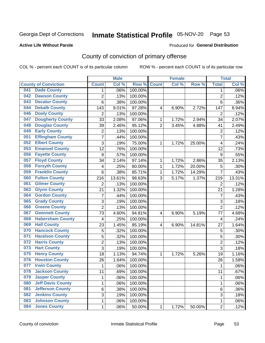## Inmate Statistical Profile 05-NOV-20 Page 53

### **Active Life Without Parole**

### Produced for General Distribution

## County of conviction of primary offense

COL % - percent each COUNT is of its particular column

|     |                             |                         | <b>Male</b> |         |                | <b>Female</b> |           |                | <b>Total</b> |
|-----|-----------------------------|-------------------------|-------------|---------|----------------|---------------|-----------|----------------|--------------|
|     | <b>County of Conviction</b> | <b>Count</b>            | Col %       | Row %   | <b>Count</b>   | Col %         | Row %     | <b>Total</b>   | Col %        |
| 041 | <b>Dade County</b>          | 1                       | .06%        | 100.00% |                |               |           | 1              | .06%         |
| 042 | <b>Dawson County</b>        | $\overline{2}$          | .13%        | 100.00% |                |               |           | $\overline{2}$ | .12%         |
| 043 | <b>Decatur County</b>       | 6                       | .38%        | 100.00% |                |               |           | 6              | .36%         |
| 044 | <b>Dekalb County</b>        | 143                     | 9.01%       | 97.28%  | 4              | 6.90%         | 2.72%     | 147            | 8.94%        |
| 046 | <b>Dooly County</b>         | $\overline{2}$          | .13%        | 100.00% |                |               |           | $\overline{2}$ | .12%         |
| 047 | <b>Dougherty County</b>     | 33                      | 2.08%       | 97.06%  | 1              | 1.72%         | 2.94%     | 34             | 2.07%        |
| 048 | <b>Douglas County</b>       | 39                      | 2.46%       | 95.12%  | $\overline{2}$ | 3.45%         | 4.88%     | 41             | 2.49%        |
| 049 | <b>Early County</b>         | $\mathbf 2$             | .13%        | 100.00% |                |               |           | $\overline{2}$ | .12%         |
| 051 | <b>Effingham County</b>     | 7                       | .44%        | 100.00% |                |               |           | $\overline{7}$ | .43%         |
| 052 | <b>Elbert County</b>        | 3                       | .19%        | 75.00%  | 1              | 1.72%         | 25.00%    | 4              | .24%         |
| 053 | <b>Emanuel County</b>       | $\overline{12}$         | .76%        | 100.00% |                |               |           | 12             | .73%         |
| 056 | <b>Fayette County</b>       | $\boldsymbol{9}$        | .57%        | 100.00% |                |               |           | 9              | .55%         |
| 057 | <b>Floyd County</b>         | 34                      | 2.14%       | 97.14%  | $\mathbf{1}$   | 1.72%         | 2.86%     | 35             | 2.13%        |
| 058 | <b>Forsyth County</b>       | 4                       | .25%        | 80.00%  | 1              | 1.72%         | 20.00%    | 5              | .30%         |
| 059 | <b>Franklin County</b>      | 6                       | .38%        | 85.71%  | 1              | 1.72%         | 14.29%    | $\overline{7}$ | .43%         |
| 060 | <b>Fulton County</b>        | 216                     | 13.61%      | 98.63%  | 3              | 5.17%         | 1.37%     | 219            | 13.31%       |
| 061 | <b>Gilmer County</b>        | $\overline{2}$          | .13%        | 100.00% |                |               |           | $\overline{2}$ | .12%         |
| 063 | <b>Glynn County</b>         | 21                      | 1.32%       | 100.00% |                |               |           | 21             | 1.28%        |
| 064 | <b>Gordon County</b>        | 7                       | .44%        | 100.00% |                |               |           | 7              | .43%         |
| 065 | <b>Grady County</b>         | 3                       | .19%        | 100.00% |                |               |           | 3              | .18%         |
| 066 | <b>Greene County</b>        | $\overline{2}$          | .13%        | 100.00% |                |               |           | $\overline{2}$ | .12%         |
| 067 | <b>Gwinnett County</b>      | 73                      | 4.60%       | 94.81%  | 4              | 6.90%         | 5.19%     | 77             | 4.68%        |
| 068 | <b>Habersham County</b>     | $\overline{\mathbf{4}}$ | .25%        | 100.00% |                |               |           | 4              | .24%         |
| 069 | <b>Hall County</b>          | 23                      | 1.45%       | 85.19%  | 4              | 6.90%         | 14.81%    | 27             | 1.64%        |
| 070 | <b>Hancock County</b>       | 5                       | .32%        | 100.00% |                |               |           | 5              | .30%         |
| 071 | <b>Haralson County</b>      | 5                       | .32%        | 100.00% |                |               |           | 5              | .30%         |
| 072 | <b>Harris County</b>        | $\overline{2}$          | .13%        | 100.00% |                |               |           | $\overline{2}$ | .12%         |
| 073 | <b>Hart County</b>          | 3                       | .19%        | 100.00% |                |               |           | $\overline{3}$ | .18%         |
| 075 | <b>Henry County</b>         | 18                      | 1.13%       | 94.74%  | $\mathbf{1}$   | 1.72%         | 5.26%     | 19             | 1.16%        |
| 076 | <b>Houston County</b>       | 26                      | 1.64%       | 100.00% |                |               |           | 26             | 1.58%        |
| 077 | <b>Irwin County</b>         | $\mathbf{1}$            | .06%        | 100.00% |                |               |           | 1              | .06%         |
| 078 | <b>Jackson County</b>       | 11                      | .69%        | 100.00% |                |               |           | 11             | .67%         |
| 079 | <b>Jasper County</b>        | $\mathbf{1}$            | .06%        | 100.00% |                |               |           | $\mathbf{1}$   | .06%         |
| 080 | <b>Jeff Davis County</b>    | 1                       | .06%        | 100.00% |                |               |           | $\mathbf{1}$   | .06%         |
| 081 | <b>Jefferson County</b>     | 6                       | .38%        | 100.00% |                |               |           | 6              | .36%         |
| 082 | <b>Jenkins County</b>       | 3                       | .19%        | 100.00% |                |               |           | 3              | .18%         |
| 083 | <b>Johnson County</b>       | 1                       | .06%        | 100.00% |                |               |           | $\mathbf 1$    | .06%         |
| 084 | <b>Jones County</b>         | $\mathbf 1$             | .06%        | 50.00%  | 1              | 1.72%         | $50.00\%$ | $\overline{2}$ | .12%         |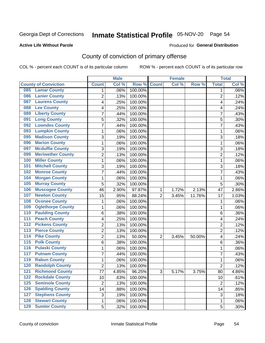## Inmate Statistical Profile 05-NOV-20 Page 54

### **Active Life Without Parole**

### Produced for General Distribution

## County of conviction of primary offense

COL % - percent each COUNT is of its particular column

|                                        |                | <b>Male</b> |         |                | <b>Female</b> |        |                | <b>Total</b> |
|----------------------------------------|----------------|-------------|---------|----------------|---------------|--------|----------------|--------------|
| <b>County of Conviction</b>            | <b>Count</b>   | Col %       | Row %   | <b>Count</b>   | Col %         | Row %  | <b>Total</b>   | Col %        |
| <b>Lamar County</b><br>085             | 1              | .06%        | 100.00% |                |               |        | 1              | $.06\%$      |
| <b>Lanier County</b><br>086            | $\overline{2}$ | .13%        | 100.00% |                |               |        | $\overline{2}$ | .12%         |
| <b>Laurens County</b><br>087           | 4              | .25%        | 100.00% |                |               |        | 4              | .24%         |
| <b>Lee County</b><br>088               | 4              | .25%        | 100.00% |                |               |        | 4              | .24%         |
| <b>Liberty County</b><br>089           | 7              | .44%        | 100.00% |                |               |        | 7              | .43%         |
| <b>Long County</b><br>091              | 5              | .32%        | 100.00% |                |               |        | 5              | .30%         |
| <b>Lowndes County</b><br>092           | 7              | .44%        | 100.00% |                |               |        | 7              | .43%         |
| <b>Lumpkin County</b><br>093           | 1              | .06%        | 100.00% |                |               |        | 1              | .06%         |
| <b>Madison County</b><br>095           | 3              | .19%        | 100.00% |                |               |        | 3              | .18%         |
| <b>Marion County</b><br>096            | 1              | .06%        | 100.00% |                |               |        | $\mathbf{1}$   | .06%         |
| <b>Mcduffie County</b><br>097          | 3              | .19%        | 100.00% |                |               |        | 3              | .18%         |
| <b>Meriwether County</b><br>099        | $\overline{2}$ | .13%        | 100.00% |                |               |        | $\overline{2}$ | .12%         |
| <b>Miller County</b><br>100            | 1              | .06%        | 100.00% |                |               |        | $\mathbf{1}$   | .06%         |
| <b>Mitchell County</b><br>101          | 3              | .19%        | 100.00% |                |               |        | 3              | .18%         |
| <b>Monroe County</b><br>102            | 7              | .44%        | 100.00% |                |               |        | $\overline{7}$ | .43%         |
| <b>Morgan County</b><br>104            | 1              | .06%        | 100.00% |                |               |        | $\mathbf{1}$   | .06%         |
| <b>Murray County</b><br>105            | 5              | .32%        | 100.00% |                |               |        | 5              | .30%         |
| <b>Muscogee County</b><br>106          | 46             | 2.90%       | 97.87%  | 1              | 1.72%         | 2.13%  | 47             | 2.86%        |
| <b>Newton County</b><br>107            | 15             | .95%        | 88.24%  | $\overline{2}$ | 3.45%         | 11.76% | 17             | 1.03%        |
| <b>Oconee County</b><br>108            | 1              | .06%        | 100.00% |                |               |        | 1              | .06%         |
| <b>Oglethorpe County</b><br>109        | 1              | .06%        | 100.00% |                |               |        | 1              | .06%         |
| <b>Paulding County</b><br>110          | 6              | .38%        | 100.00% |                |               |        | 6              | .36%         |
| <b>Peach County</b><br>111             | 4              | .25%        | 100.00% |                |               |        | 4              | .24%         |
| <b>Pickens County</b><br>112           | $\overline{2}$ | .13%        | 100.00% |                |               |        | $\overline{2}$ | .12%         |
| <b>Pierce County</b><br>113            | 2              | .13%        | 100.00% |                |               |        | $\overline{2}$ | .12%         |
| <b>Pike County</b><br>$\overline{114}$ | $\overline{2}$ | .13%        | 50.00%  | $\overline{2}$ | 3.45%         | 50.00% | 4              | .24%         |
| <b>Polk County</b><br>$\overline{115}$ | 6              | .38%        | 100.00% |                |               |        | 6              | .36%         |
| <b>Pulaski County</b><br>116           | 1              | .06%        | 100.00% |                |               |        | $\mathbf{1}$   | .06%         |
| <b>Putnam County</b><br>117            | 7              | .44%        | 100.00% |                |               |        | 7              | .43%         |
| <b>Rabun County</b><br>119             | 1              | .06%        | 100.00% |                |               |        | $\mathbf{1}$   | .06%         |
| <b>Randolph County</b><br>120          | $\overline{2}$ | .13%        | 100.00% |                |               |        | $\overline{2}$ | .12%         |
| <b>Richmond County</b><br>121          | 77             | 4.85%       | 96.25%  | 3              | 5.17%         | 3.75%  | 80             | 4.86%        |
| <b>Rockdale County</b><br>122          | 10             | .63%        | 100.00% |                |               |        | 10             | .61%         |
| <b>Seminole County</b><br>$125$        | $\overline{2}$ | .13%        | 100.00% |                |               |        | $\overline{2}$ | .12%         |
| <b>Spalding County</b><br>126          | 14             | .88%        | 100.00% |                |               |        | 14             | .85%         |
| <b>Stephens County</b><br>127          | 3              | .19%        | 100.00% |                |               |        | 3              | .18%         |
| <b>Stewart County</b><br>128           | 1              | .06%        | 100.00% |                |               |        | 1              | .06%         |
| <b>Sumter County</b><br>129            | 5              | .32%        | 100.00% |                |               |        | 5              | .30%         |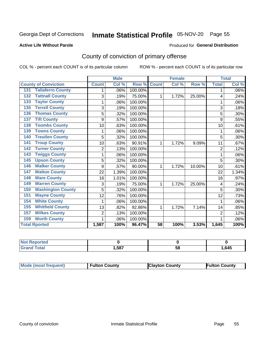## Inmate Statistical Profile 05-NOV-20 Page 55

### **Active Life Without Parole**

## Produced for General Distribution

## County of conviction of primary offense

COL % - percent each COUNT is of its particular column

|                                 |                | <b>Male</b> |         |              | <b>Female</b> |        | <b>Total</b>   |       |
|---------------------------------|----------------|-------------|---------|--------------|---------------|--------|----------------|-------|
| <b>County of Conviction</b>     | <b>Count</b>   | Col %       | Row %   | <b>Count</b> | Col %         | Row %  | <b>Total</b>   | Col % |
| <b>Taliaferro County</b><br>131 |                | .06%        | 100.00% |              |               |        | 1              | .06%  |
| <b>Tattnall County</b><br>132   | 3              | .19%        | 75.00%  | 1            | 1.72%         | 25.00% | 4              | .24%  |
| <b>Taylor County</b><br>133     | 1              | .06%        | 100.00% |              |               |        | 1              | .06%  |
| <b>Terrell County</b><br>135    | 3              | .19%        | 100.00% |              |               |        | 3              | .18%  |
| <b>Thomas County</b><br>136     | 5              | .32%        | 100.00% |              |               |        | 5              | .30%  |
| <b>Tift County</b><br>137       | 9              | .57%        | 100.00% |              |               |        | 9              | .55%  |
| <b>Toombs County</b><br>138     | 10             | .63%        | 100.00% |              |               |        | 10             | .61%  |
| <b>Towns County</b><br>139      | 1              | .06%        | 100.00% |              |               |        | 1              | .06%  |
| <b>Treutlen County</b><br>140   | 5              | .32%        | 100.00% |              |               |        | 5              | .30%  |
| <b>Troup County</b><br>141      | 10             | .63%        | 90.91%  | 1            | 1.72%         | 9.09%  | 11             | .67%  |
| <b>Turner County</b><br>142     | $\overline{2}$ | .13%        | 100.00% |              |               |        | $\overline{2}$ | .12%  |
| <b>Twiggs County</b><br>143     | 1              | .06%        | 100.00% |              |               |        | 1              | .06%  |
| <b>Upson County</b><br>145      | 5              | .32%        | 100.00% |              |               |        | 5              | .30%  |
| <b>Walker County</b><br>146     | 9              | .57%        | 90.00%  | 1            | 1.72%         | 10.00% | 10             | .61%  |
| <b>Walton County</b><br>147     | 22             | 1.39%       | 100.00% |              |               |        | 22             | 1.34% |
| <b>Ware County</b><br>148       | 16             | 1.01%       | 100.00% |              |               |        | 16             | .97%  |
| <b>Warren County</b><br>149     | 3              | .19%        | 75.00%  | 1            | 1.72%         | 25.00% | 4              | .24%  |
| <b>Washington County</b><br>150 | 5              | .32%        | 100.00% |              |               |        | 5              | .30%  |
| <b>Wayne County</b><br>151      | 12             | .76%        | 100.00% |              |               |        | 12             | .73%  |
| <b>White County</b><br>154      | 1              | .06%        | 100.00% |              |               |        | 1              | .06%  |
| <b>Whitfield County</b><br>155  | 13             | .82%        | 92.86%  | 1            | 1.72%         | 7.14%  | 14             | .85%  |
| <b>Wilkes County</b><br>157     | $\overline{2}$ | .13%        | 100.00% |              |               |        | $\overline{2}$ | .12%  |
| <b>Worth County</b><br>159      | 1              | .06%        | 100.00% |              |               |        |                | .06%  |
| <b>Total Rported</b>            | 1,587          | 100%        | 96.47%  | 58           | 100%          | 3.53%  | 1,645          | 100%  |

| пето |      |    |      |
|------|------|----|------|
|      | ,587 | 58 | ,645 |

| <b>Mode (most frequent)</b> | <b>Fulton County</b> | <b>Clayton County</b> | <b>Fulton County</b> |
|-----------------------------|----------------------|-----------------------|----------------------|
|-----------------------------|----------------------|-----------------------|----------------------|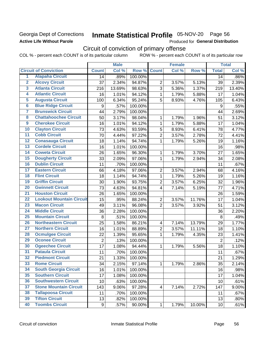## Georgia Dept of Corrections **Active Life Without Parole**

## Inmate Statistical Profile 05-NOV-20 Page 56

Produced for General Distribution

## Circuit of conviction of primary offense

|                         |                                 |                | <b>Male</b> |         |                          | <b>Female</b> |        |                  | <b>Total</b> |
|-------------------------|---------------------------------|----------------|-------------|---------|--------------------------|---------------|--------|------------------|--------------|
|                         | <b>Circuit of Conviction</b>    | <b>Count</b>   | Col %       | Row %   | <b>Count</b>             | Col %         | Row %  | <b>Total</b>     | Col %        |
| 1                       | <b>Alapaha Circuit</b>          | 14             | .89%        | 100.00% |                          |               |        | 14               | .86%         |
| $\overline{2}$          | <b>Alcovy Circuit</b>           | 37             | 2.34%       | 94.87%  | $\overline{2}$           | 3.57%         | 5.13%  | 39               | 2.39%        |
| $\overline{\mathbf{3}}$ | <b>Atlanta Circuit</b>          | 216            | 13.69%      | 98.63%  | 3                        | 5.36%         | 1.37%  | 219              | 13.40%       |
| 4                       | <b>Atlantic Circuit</b>         | 16             | 1.01%       | 94.12%  | $\mathbf 1$              | 1.79%         | 5.88%  | 17               | 1.04%        |
| 5                       | <b>Augusta Circuit</b>          | 100            | 6.34%       | 95.24%  | 5                        | 8.93%         | 4.76%  | 105              | 6.43%        |
| $\overline{6}$          | <b>Blue Ridge Circuit</b>       | 9              | .57%        | 100.00% |                          |               |        | $\boldsymbol{9}$ | .55%         |
| 7                       | <b>Brunswick Circuit</b>        | 44             | 2.79%       | 100.00% |                          |               |        | 44               | 2.69%        |
| 8                       | <b>Chattahoochee Circuit</b>    | 50             | 3.17%       | 98.04%  | 1                        | 1.79%         | 1.96%  | 51               | 3.12%        |
| $\overline{9}$          | <b>Cherokee Circuit</b>         | 16             | 1.01%       | 94.12%  | 1                        | 1.79%         | 5.88%  | 17               | 1.04%        |
| 10                      | <b>Clayton Circuit</b>          | 73             | 4.63%       | 93.59%  | 5                        | 8.93%         | 6.41%  | 78               | 4.77%        |
| $\overline{11}$         | <b>Cobb Circuit</b>             | 70             | 4.44%       | 97.22%  | $\overline{c}$           | 3.57%         | 2.78%  | 72               | 4.41%        |
| 12                      | <b>Conasauga Circuit</b>        | 18             | 1.14%       | 94.74%  | $\mathbf{1}$             | 1.79%         | 5.26%  | 19               | 1.16%        |
| 13                      | <b>Cordele Circuit</b>          | 16             | 1.01%       | 100.00% |                          |               |        | 16               | .98%         |
| $\overline{14}$         | <b>Coweta Circuit</b>           | 26             | 1.65%       | 96.30%  | $\mathbf{1}$             | 1.79%         | 3.70%  | 27               | 1.65%        |
| $\overline{15}$         | <b>Dougherty Circuit</b>        | 33             | 2.09%       | 97.06%  | $\mathbf 1$              | 1.79%         | 2.94%  | 34               | 2.08%        |
| 16                      | <b>Dublin Circuit</b>           | 11             | .70%        | 100.00% |                          |               |        | 11               | .67%         |
| 17                      | <b>Eastern Circuit</b>          | 66             | 4.18%       | 97.06%  | $\overline{2}$           | 3.57%         | 2.94%  | 68               | 4.16%        |
| 18                      | <b>Flint Circuit</b>            | 18             | 1.14%       | 94.74%  | $\mathbf{1}$             | 1.79%         | 5.26%  | 19               | 1.16%        |
| 19                      | <b>Griffin Circuit</b>          | 30             | 1.90%       | 93.75%  | $\overline{2}$           | 3.57%         | 6.25%  | 32               | 1.96%        |
| $\overline{20}$         | <b>Gwinnett Circuit</b>         | 73             | 4.63%       | 94.81%  | 4                        | 7.14%         | 5.19%  | 77               | 4.71%        |
| $\overline{21}$         | <b>Houston Circuit</b>          | 26             | 1.65%       | 100.00% |                          |               |        | 26               | 1.59%        |
| $\overline{22}$         | <b>Lookout Mountain Circuit</b> | 15             | .95%        | 88.24%  | $\boldsymbol{2}$         | 3.57%         | 11.76% | 17               | 1.04%        |
| 23                      | <b>Macon Circuit</b>            | 49             | 3.11%       | 96.08%  | $\overline{2}$           | 3.57%         | 3.92%  | 51               | 3.12%        |
| $\overline{24}$         | <b>Middle Circuit</b>           | 36             | 2.28%       | 100.00% |                          |               |        | 36               | 2.20%        |
| $\overline{25}$         | <b>Mountain Circuit</b>         | $\,8\,$        | .51%        | 100.00% |                          |               |        | 8                | .49%         |
| 26                      | <b>Northeastern Circuit</b>     | 25             | 1.58%       | 86.21%  | $\overline{\mathcal{A}}$ | 7.14%         | 13.79% | 29               | 1.77%        |
| $\overline{27}$         | <b>Northern Circuit</b>         | 16             | 1.01%       | 88.89%  | $\overline{c}$           | 3.57%         | 11.11% | 18               | 1.10%        |
| 28                      | <b>Ocmulgee Circuit</b>         | 22             | 1.39%       | 95.65%  | $\mathbf{1}$             | 1.79%         | 4.35%  | 23               | 1.41%        |
| 29                      | <b>Oconee Circuit</b>           | $\overline{2}$ | .13%        | 100.00% |                          |               |        | $\overline{2}$   | .12%         |
| 30                      | <b>Ogeechee Circuit</b>         | 17             | 1.08%       | 94.44%  | 1                        | 1.79%         | 5.56%  | 18               | 1.10%        |
| $\overline{31}$         | <b>Pataula Circuit</b>          | 11             | .70%        | 100.00% |                          |               |        | 11               | .67%         |
| 32                      | <b>Piedmont Circuit</b>         | 21             | 1.33%       | 100.00% |                          |               |        | 21               | 1.29%        |
| 33                      | <b>Rome Circuit</b>             | 34             | 2.15%       | 97.14%  | $\mathbf{1}$             | 1.79%         | 2.86%  | 35               | 2.14%        |
| 34                      | <b>South Georgia Circuit</b>    | 16             | 1.01%       | 100.00% |                          |               |        | 16               | .98%         |
| 35                      | <b>Southern Circuit</b>         | 17             | 1.08%       | 100.00% |                          |               |        | 17               | 1.04%        |
| 36                      | <b>Southwestern Circuit</b>     | 10             | .63%        | 100.00% |                          |               |        | 10               | .61%         |
| 37                      | <b>Stone Mountain Circuit</b>   | 143            | 9.06%       | 97.28%  | 4                        | 7.14%         | 2.72%  | 147              | 9.00%        |
| 38                      | <b>Tallapoosa Circuit</b>       | 11             | .70%        | 100.00% |                          |               |        | 11               | .67%         |
| 39                      | <b>Tifton Circuit</b>           | 13             | .82%        | 100.00% |                          |               |        | 13               | .80%         |
| 40                      | <b>Toombs Circuit</b>           | 9              | .57%        | 90.00%  | $\mathbf{1}$             | 1.79%         | 10.00% | 10 <sup>1</sup>  | .61%         |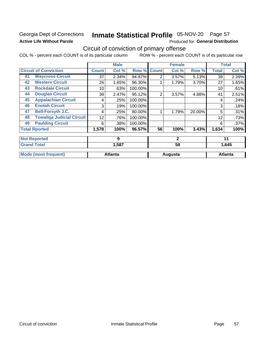## Georgia Dept of Corrections **Active Life Without Parole**

## Inmate Statistical Profile 05-NOV-20 Page 57

Produced for General Distribution

## Circuit of conviction of primary offense

|    |                                  |              | <b>Male</b>    |         |                | <b>Female</b> |        |              | <b>Total</b>   |
|----|----------------------------------|--------------|----------------|---------|----------------|---------------|--------|--------------|----------------|
|    | <b>Circuit of Conviction</b>     | <b>Count</b> | Col %          | Row %   | <b>Count</b>   | Col %         | Row %  | <b>Total</b> | Col %          |
| 41 | <b>Waycross Circuit</b>          | 37           | 2.34%          | 94.87%  | 2              | 3.57%         | 5.13%  | 39           | 2.39%          |
| 42 | <b>Western Circuit</b>           | 26           | 1.65%          | 96.30%  |                | 1.79%         | 3.70%  | 27           | 1.65%          |
| 43 | <b>Rockdale Circuit</b>          | 10           | .63%           | 100.00% |                |               |        | 10           | .61%           |
| 44 | <b>Douglas Circuit</b>           | 39           | 2.47%          | 95.12%  | $\overline{2}$ | 3.57%         | 4.88%  | 41           | 2.51%          |
| 45 | <b>Appalachian Circuit</b>       | 4            | .25%           | 100.00% |                |               |        | 4            | .24%           |
| 46 | <b>Enotah Circuit</b>            | 3            | .19%           | 100.00% |                |               |        | 3            | .18%           |
| 47 | <b>Bell-Forsyth J.C.</b>         | 4            | .25%           | 80.00%  |                | 1.79%         | 20.00% | 5            | .31%           |
| 48 | <b>Towaliga Judicial Circuit</b> | 12           | .76%           | 100.00% |                |               |        | 12           | .73%           |
| 49 | <b>Paulding Circuit</b>          | 6            | .38%           | 100.00% |                |               |        | 6            | .37%           |
|    | <b>Total Rported</b>             | 1,578        | 100%           | 96.57%  | 56             | 100%          | 3.43%  | 1,634        | 100%           |
|    | <b>Not Reported</b>              |              | 9              |         |                | $\mathbf{2}$  |        |              | 11             |
|    | <b>Grand Total</b>               |              | 1,587          |         |                | 58            |        |              | 1,645          |
|    | <b>Mode (most frequent)</b>      |              | <b>Atlanta</b> |         |                | Augusta       |        |              | <b>Atlanta</b> |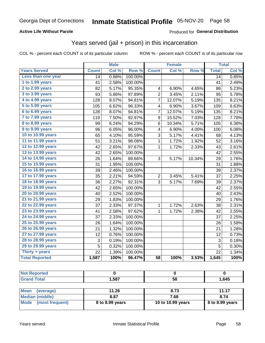## **Active Life Without Parole**

### Produced for General Distribution

## Years served (jail + prison) in this incarceration

COL % - percent each COUNT is of its particular column

|                       |              | <b>Male</b> |         |                 | <b>Female</b>       |        |              | <b>Total</b> |
|-----------------------|--------------|-------------|---------|-----------------|---------------------|--------|--------------|--------------|
| <b>Years Served</b>   | <b>Count</b> | Col %       | Row %   | <b>Count</b>    | Col %               | Row %  | <b>Total</b> | Col %        |
| Less than one year    | 14           | 0.88%       | 100.00% |                 |                     |        | 14           | 0.85%        |
| 1 to 1.99 years       | 41           | 2.58%       | 100.00% |                 |                     |        | 41           | 2.49%        |
| 2 to 2.99 years       | 82           | 5.17%       | 95.35%  | 4               | 6.90%               | 4.65%  | 86           | 5.23%        |
| 3 to 3.99 years       | 93           | 5.86%       | 97.89%  | $\overline{c}$  | 3.45%               | 2.11%  | 95           | 5.78%        |
| 4 to 4.99 years       | 128          | 8.07%       | 94.81%  | $\overline{7}$  | 12.07%              | 5.19%  | 135          | 8.21%        |
| 5 to 5.99 years       | 105          | 6.62%       | 96.33%  | 4               | 6.90%               | 3.67%  | 109          | 6.63%        |
| 6 to 6.99 years       | 128          | 8.07%       | 94.81%  | 7               | 12.07%              | 5.19%  | 135          | 8.21%        |
| 7 to 7.99 years       | 119          | 7.50%       | 92.97%  | 9               | 15.52%              | 7.03%  | 128          | 7.78%        |
| 8 to 8.99 years       | 99           | 6.24%       | 94.29%  | 6               | 10.34%              | 5.71%  | 105          | 6.38%        |
| 9 to 9.99 years       | 96           | 6.05%       | 96.00%  | 4               | 6.90%               | 4.00%  | 100          | 6.08%        |
| 10 to 10.99 years     | 65           | 4.10%       | 95.59%  | 3               | 5.17%               | 4.41%  | 68           | 4.13%        |
| 11 to 11.99 years     | 51           | 3.21%       | 98.08%  | 1               | 1.72%               | 1.92%  | 52           | 3.16%        |
| 12 to 12.99 years     | 42           | 2.65%       | 97.67%  | 1               | 1.72%               | 2.33%  | 43           | 2.61%        |
| 13 to 13.99 years     | 42           | 2.65%       | 100.00% |                 |                     |        | 42           | 2.55%        |
| 14 to 14.99 years     | 26           | 1.64%       | 89.66%  | 3               | 5.17%               | 10.34% | 29           | 1.76%        |
| 15 to 15.99 years     | 31           | 1.95%       | 100.00% |                 |                     |        | 31           | 1.88%        |
| 16 to 16.99 years     | 39           | 2.46%       | 100.00% |                 |                     |        | 39           | 2.37%        |
| 17 to 17.99 years     | 35           | 2.21%       | 94.59%  | $\overline{2}$  | 3.45%               | 5.41%  | 37           | 2.25%        |
| 18 to 18.99 years     | 36           | 2.27%       | 92.31%  | 3               | 5.17%               | 7.69%  | 39           | 2.37%        |
| 19 to 19.99 years     | 42           | 2.65%       | 100.00% |                 |                     |        | 42           | 2.55%        |
| 20 to 20.99 years     | 40           | 2.52%       | 100.00% |                 |                     |        | 40           | 2.43%        |
| 21 to 21.99 years     | 29           | 1.83%       | 100.00% |                 |                     |        | 29           | 1.76%        |
| 22 to 22.99 years     | 37           | 2.33%       | 97.37%  | 1               | 1.72%               | 2.63%  | 38           | 2.31%        |
| 23 to 23.99 years     | 41           | 2.58%       | 97.62%  | 1               | $\overline{1.72\%}$ | 2.38%  | 42           | 2.55%        |
| 24 to 24.99 years     | 37           | 2.33%       | 100.00% |                 |                     |        | 37           | 2.25%        |
| 25 to 25.99 years     | 26           | 1.64%       | 100.00% |                 |                     |        | 26           | 1.58%        |
| 26 to 26.99 years     | 21           | 1.32%       | 100.00% |                 |                     |        | 21           | 1.28%        |
| 27 to 27.99 years     | 12           | 0.76%       | 100.00% |                 |                     |        | 12           | 0.73%        |
| 28 to 28.99 years     | 3            | 0.19%       | 100.00% |                 |                     |        | 3            | 0.18%        |
| 29 to 29.99 years     | 5            | 0.32%       | 100.00% |                 |                     |        | 5            | 0.30%        |
| Thirty + years        | 22           | 1.39%       | 100.00% |                 |                     |        | 22           | 1.34%        |
| <b>Total Reported</b> | 1,587        | 100%        | 96.47%  | $\overline{58}$ | 100%                | 3.53%  | 1,645        | 100%         |

| <b>Not Reported</b>     |                 |                   |                 |
|-------------------------|-----------------|-------------------|-----------------|
| <b>Grand Total</b>      | 1.587           | 58                | 1,645           |
|                         |                 |                   |                 |
| Mean<br>(average)       | 11.26           | 8.73              | 11.17           |
| <b>Median (middle)</b>  | 8.87            | 7.68              | 8.74            |
| Mode<br>(most frequent) | 8 to 8.99 years | 10 to 10.99 years | 8 to 8.99 years |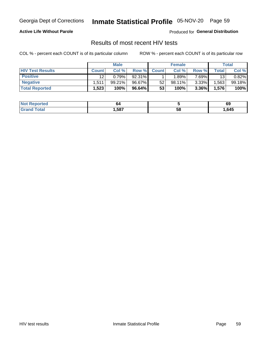## Inmate Statistical Profile 05-NOV-20 Page 59

## **Active Life Without Parole**

Produced for General Distribution

## Results of most recent HIV tests

COL % - percent each COUNT is of its particular column

|                         | <b>Male</b>  |        |        | <b>Female</b> |           |          | Total              |        |
|-------------------------|--------------|--------|--------|---------------|-----------|----------|--------------------|--------|
| <b>HIV Test Results</b> | <b>Count</b> | Col %  | Row %I | <b>Count</b>  | Col %     | Row %    | Total <sub>1</sub> | Col %  |
| <b>Positive</b>         | 12           | 0.79%  | 92.31% |               | .89%      | 7.69%    | 13                 | 0.82%  |
| <b>Negative</b>         | .511         | 99.21% | 96.67% | 52            | $98.11\%$ | $3.33\%$ | .563               | 99.18% |
| <b>Total Reported</b>   | .523         | 100%   | 96.64% | 53            | 100%      | 3.36%    | 1,576              | 100%   |

| <b>Not Reported</b>    | 64   |    | 69   |
|------------------------|------|----|------|
| <b>Total</b><br>. Grot | .587 | 58 | ,645 |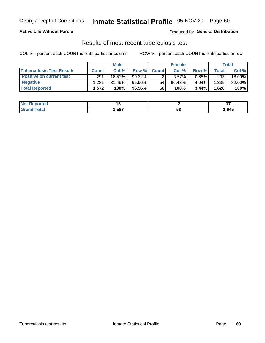## Georgia Dept of Corrections **Inmate Statistical Profile** 05-NOV-20 Page 60

## **Active Life Without Parole**

Produced for **General Distribution**

## Results of most recent tuberculosis test

|                                  | <b>Male</b>  |        |        | <b>Female</b> |          |       | Total |        |
|----------------------------------|--------------|--------|--------|---------------|----------|-------|-------|--------|
| <b>Tuberculosis Test Results</b> | <b>Count</b> | Col%   | Row %I | <b>Count</b>  | Col%     | Row % | Total | Col %  |
| <b>Positive on current test</b>  | 291          | 18.51% | 99.32% |               | $3.57\%$ | 0.68% | 293   | 18.00% |
| <b>Negative</b>                  | .281         | 81.49% | 95.96% | 54            | 96.43%   | 4.04% | 1,335 | 82.00% |
| <b>Total Reported</b>            | 1,572        | 100%   | 96.56% | 56            | 100%     | 3.44% | 1,628 | 100%   |

| <b>Not Reported</b> |      |    |      |
|---------------------|------|----|------|
| Total               | .587 | วซ | ,645 |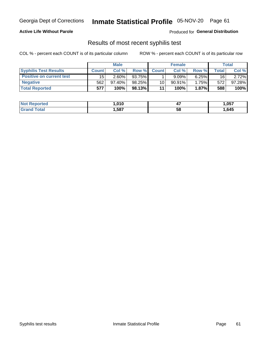## Georgia Dept of Corrections **Inmate Statistical Profile** 05-NOV-20 Page 61

## **Active Life Without Parole**

Produced for **General Distribution**

## Results of most recent syphilis test

|                                 | <b>Male</b>  |           |        | <b>Female</b> |           |        | Total |        |
|---------------------------------|--------------|-----------|--------|---------------|-----------|--------|-------|--------|
| <b>Syphilis Test Results</b>    | <b>Count</b> | Col%      | Row %  | <b>Count</b>  | Col %     | Row %I | Total | Col %  |
| <b>Positive on current test</b> | 15           | $2.60\%$  | 93.75% |               | 9.09%     | 6.25%  | 16    | 2.72%  |
| <b>Negative</b>                 | 562          | $97.40\%$ | 98.25% | 10            | $90.91\%$ | 1.75%  | 572   | 97.28% |
| <b>Total Reported</b>           | 577          | 100%      | 98.13% | 11            | 100%      | 1.87%  | 588   | 100%   |

| <b>Not Reported</b> | 010، ا | . .<br>−. | 057, ا |
|---------------------|--------|-----------|--------|
| <b>Grand Total</b>  | ,587   | 58        | ,645   |